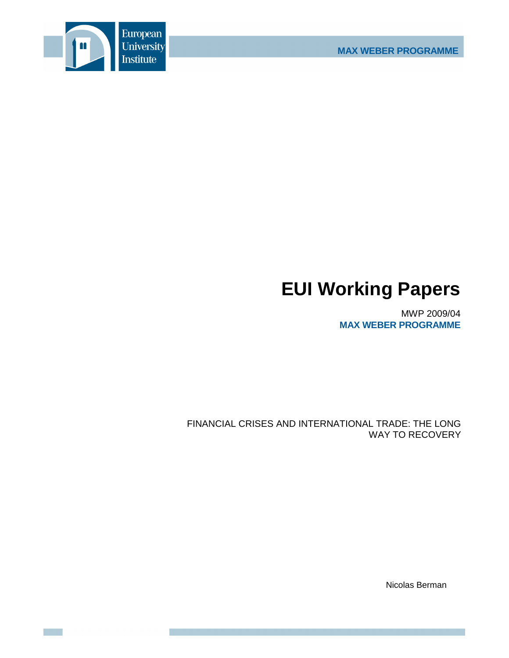

# **EUI Working Papers**

MWP 2009/04 **MAX WEBER PROGRAMME**

FINANCIAL CRISES AND INTERNATIONAL TRADE: THE LONG WAY TO RECOVERY

Nicolas Berman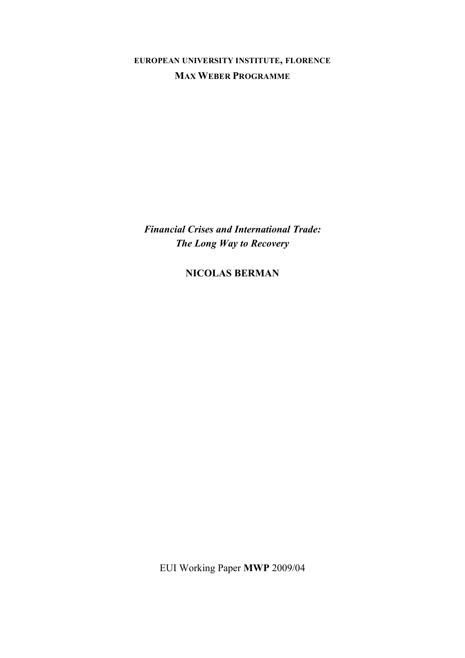**EUROPEAN UNIVERSITY INSTITUTE, FLORENCE MAX WEBER PROGRAMME**

*Financial Crises and International Trade: The Long Way to Recovery*

**NICOLAS BERMAN**

EUI Working Paper **MWP** 2009/04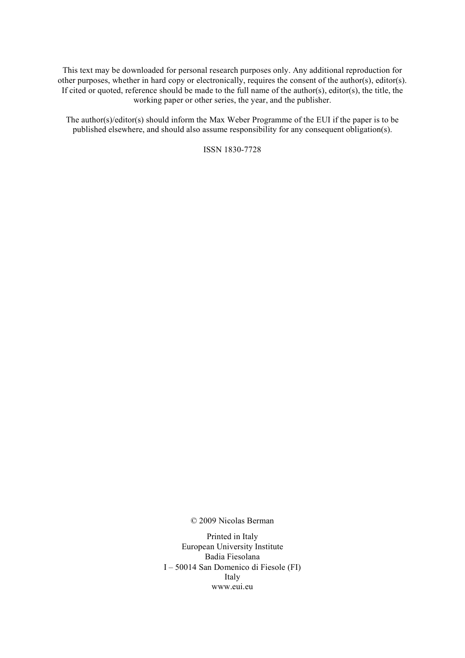This text may be downloaded for personal research purposes only. Any additional reproduction for other purposes, whether in hard copy or electronically, requires the consent of the author(s), editor(s). If cited or quoted, reference should be made to the full name of the author(s), editor(s), the title, the working paper or other series, the year, and the publisher.

The author(s)/editor(s) should inform the Max Weber Programme of the EUI if the paper is to be published elsewhere, and should also assume responsibility for any consequent obligation(s).

ISSN 1830-7728

© 2009 Nicolas Berman

Printed in Italy European University Institute Badia Fiesolana I – 50014 San Domenico di Fiesole (FI) Italy www.eui.eu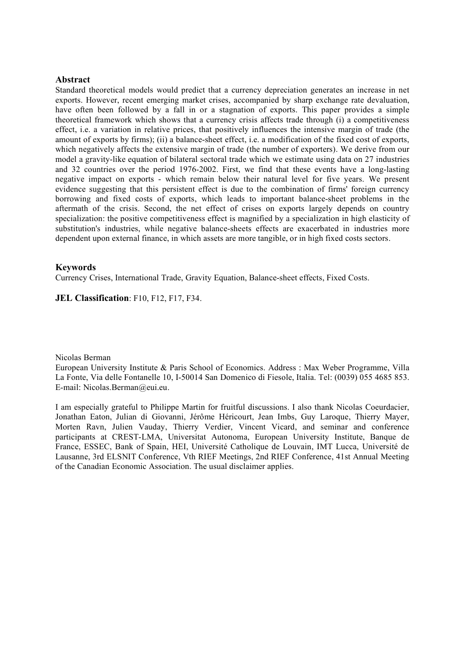## **Abstract**

Standard theoretical models would predict that a currency depreciation generates an increase in net exports. However, recent emerging market crises, accompanied by sharp exchange rate devaluation, have often been followed by a fall in or a stagnation of exports. This paper provides a simple theoretical framework which shows that a currency crisis affects trade through (i) a competitiveness effect, i.e. a variation in relative prices, that positively influences the intensive margin of trade (the amount of exports by firms); (ii) a balance-sheet effect, i.e. a modification of the fixed cost of exports, which negatively affects the extensive margin of trade (the number of exporters). We derive from our model a gravity-like equation of bilateral sectoral trade which we estimate using data on 27 industries and 32 countries over the period 1976-2002. First, we find that these events have a long-lasting negative impact on exports - which remain below their natural level for five years. We present evidence suggesting that this persistent effect is due to the combination of firms' foreign currency borrowing and fixed costs of exports, which leads to important balance-sheet problems in the aftermath of the crisis. Second, the net effect of crises on exports largely depends on country specialization: the positive competitiveness effect is magnified by a specialization in high elasticity of substitution's industries, while negative balance-sheets effects are exacerbated in industries more dependent upon external finance, in which assets are more tangible, or in high fixed costs sectors.

## **Keywords**

Currency Crises, International Trade, Gravity Equation, Balance-sheet effects, Fixed Costs.

**JEL Classification**: F10, F12, F17, F34.

## Nicolas Berman

European University Institute & Paris School of Economics. Address : Max Weber Programme, Villa La Fonte, Via delle Fontanelle 10, I-50014 San Domenico di Fiesole, Italia. Tel: (0039) 055 4685 853. E-mail: Nicolas.Berman@eui.eu.

I am especially grateful to Philippe Martin for fruitful discussions. I also thank Nicolas Coeurdacier, Jonathan Eaton, Julian di Giovanni, Jérôme Héricourt, Jean Imbs, Guy Laroque, Thierry Mayer, Morten Ravn, Julien Vauday, Thierry Verdier, Vincent Vicard, and seminar and conference participants at CREST-LMA, Universitat Autonoma, European University Institute, Banque de France, ESSEC, Bank of Spain, HEI, Université Catholique de Louvain, IMT Lucca, Université de Lausanne, 3rd ELSNIT Conference, Vth RIEF Meetings, 2nd RIEF Conference, 41st Annual Meeting of the Canadian Economic Association. The usual disclaimer applies.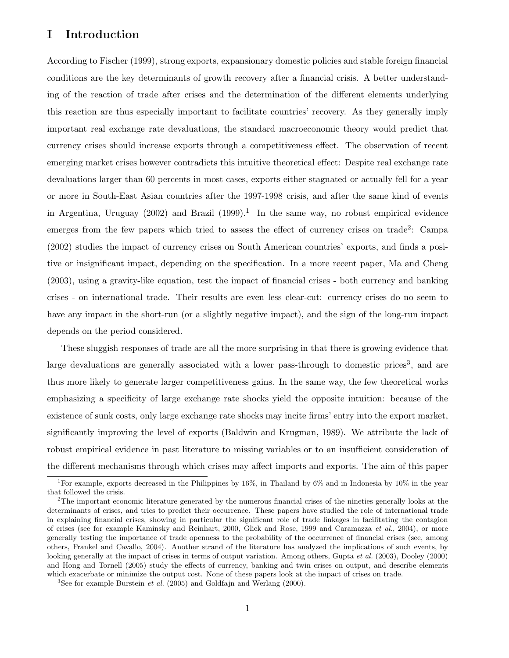# I Introduction

According to Fischer (1999), strong exports, expansionary domestic policies and stable foreign financial conditions are the key determinants of growth recovery after a financial crisis. A better understanding of the reaction of trade after crises and the determination of the different elements underlying this reaction are thus especially important to facilitate countries' recovery. As they generally imply important real exchange rate devaluations, the standard macroeconomic theory would predict that currency crises should increase exports through a competitiveness effect. The observation of recent emerging market crises however contradicts this intuitive theoretical effect: Despite real exchange rate devaluations larger than 60 percents in most cases, exports either stagnated or actually fell for a year or more in South-East Asian countries after the 1997-1998 crisis, and after the same kind of events in Argentina, Uruguay  $(2002)$  and Brazil  $(1999).$ <sup>1</sup> In the same way, no robust empirical evidence emerges from the few papers which tried to assess the effect of currency crises on trade<sup>2</sup>: Campa (2002) studies the impact of currency crises on South American countries' exports, and finds a positive or insignificant impact, depending on the specification. In a more recent paper, Ma and Cheng (2003), using a gravity-like equation, test the impact of financial crises - both currency and banking crises - on international trade. Their results are even less clear-cut: currency crises do no seem to have any impact in the short-run (or a slightly negative impact), and the sign of the long-run impact depends on the period considered.

These sluggish responses of trade are all the more surprising in that there is growing evidence that large devaluations are generally associated with a lower pass-through to domestic prices<sup>3</sup>, and are thus more likely to generate larger competitiveness gains. In the same way, the few theoretical works emphasizing a specificity of large exchange rate shocks yield the opposite intuition: because of the existence of sunk costs, only large exchange rate shocks may incite firms' entry into the export market, significantly improving the level of exports (Baldwin and Krugman, 1989). We attribute the lack of robust empirical evidence in past literature to missing variables or to an insufficient consideration of the different mechanisms through which crises may affect imports and exports. The aim of this paper

<sup>&</sup>lt;sup>1</sup>For example, exports decreased in the Philippines by 16%, in Thailand by 6% and in Indonesia by 10% in the year that followed the crisis.

<sup>2</sup>The important economic literature generated by the numerous financial crises of the nineties generally looks at the determinants of crises, and tries to predict their occurrence. These papers have studied the role of international trade in explaining financial crises, showing in particular the significant role of trade linkages in facilitating the contagion of crises (see for example Kaminsky and Reinhart, 2000, Glick and Rose, 1999 and Caramazza et al., 2004), or more generally testing the importance of trade openness to the probability of the occurrence of financial crises (see, among others, Frankel and Cavallo, 2004). Another strand of the literature has analyzed the implications of such events, by looking generally at the impact of crises in terms of output variation. Among others, Gupta et al. (2003), Dooley (2000) and Hong and Tornell (2005) study the effects of currency, banking and twin crises on output, and describe elements which exacerbate or minimize the output cost. None of these papers look at the impact of crises on trade.

<sup>&</sup>lt;sup>3</sup>See for example Burstein *et al.* (2005) and Goldfajn and Werlang (2000).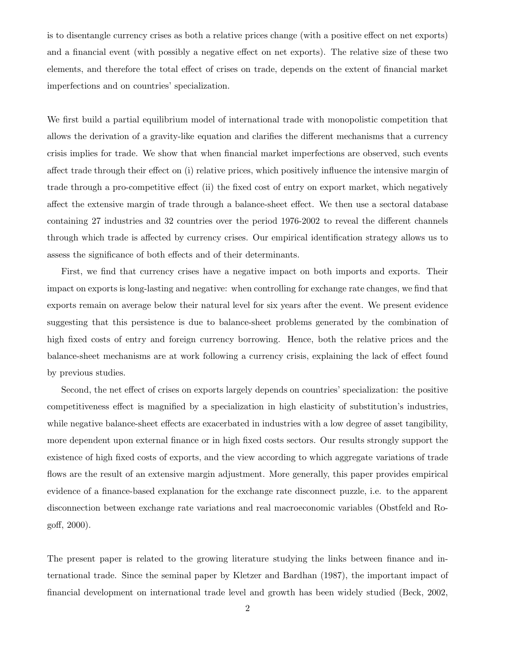is to disentangle currency crises as both a relative prices change (with a positive effect on net exports) and a financial event (with possibly a negative effect on net exports). The relative size of these two elements, and therefore the total effect of crises on trade, depends on the extent of financial market imperfections and on countries' specialization.

We first build a partial equilibrium model of international trade with monopolistic competition that allows the derivation of a gravity-like equation and clarifies the different mechanisms that a currency crisis implies for trade. We show that when financial market imperfections are observed, such events affect trade through their effect on (i) relative prices, which positively influence the intensive margin of trade through a pro-competitive effect (ii) the fixed cost of entry on export market, which negatively affect the extensive margin of trade through a balance-sheet effect. We then use a sectoral database containing 27 industries and 32 countries over the period 1976-2002 to reveal the different channels through which trade is affected by currency crises. Our empirical identification strategy allows us to assess the significance of both effects and of their determinants.

First, we find that currency crises have a negative impact on both imports and exports. Their impact on exports is long-lasting and negative: when controlling for exchange rate changes, we find that exports remain on average below their natural level for six years after the event. We present evidence suggesting that this persistence is due to balance-sheet problems generated by the combination of high fixed costs of entry and foreign currency borrowing. Hence, both the relative prices and the balance-sheet mechanisms are at work following a currency crisis, explaining the lack of effect found by previous studies.

Second, the net effect of crises on exports largely depends on countries' specialization: the positive competitiveness effect is magnified by a specialization in high elasticity of substitution's industries, while negative balance-sheet effects are exacerbated in industries with a low degree of asset tangibility, more dependent upon external finance or in high fixed costs sectors. Our results strongly support the existence of high fixed costs of exports, and the view according to which aggregate variations of trade flows are the result of an extensive margin adjustment. More generally, this paper provides empirical evidence of a finance-based explanation for the exchange rate disconnect puzzle, i.e. to the apparent disconnection between exchange rate variations and real macroeconomic variables (Obstfeld and Rogoff, 2000).

The present paper is related to the growing literature studying the links between finance and international trade. Since the seminal paper by Kletzer and Bardhan (1987), the important impact of financial development on international trade level and growth has been widely studied (Beck, 2002,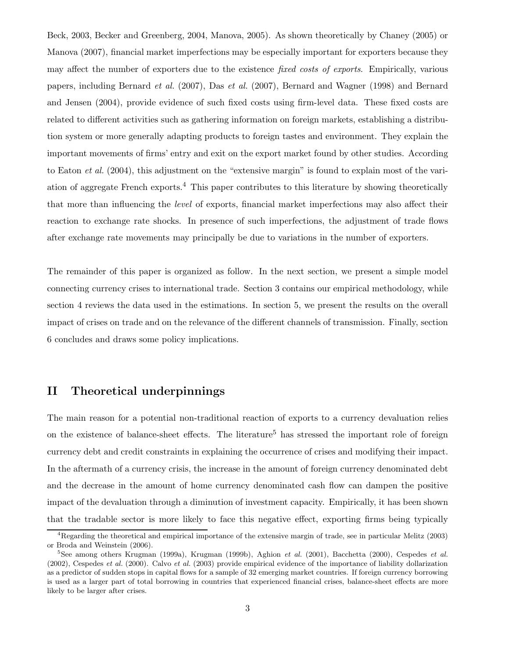Beck, 2003, Becker and Greenberg, 2004, Manova, 2005). As shown theoretically by Chaney (2005) or Manova (2007), financial market imperfections may be especially important for exporters because they may affect the number of exporters due to the existence *fixed costs of exports*. Empirically, various papers, including Bernard et al. (2007), Das et al. (2007), Bernard and Wagner (1998) and Bernard and Jensen (2004), provide evidence of such fixed costs using firm-level data. These fixed costs are related to different activities such as gathering information on foreign markets, establishing a distribution system or more generally adapting products to foreign tastes and environment. They explain the important movements of firms' entry and exit on the export market found by other studies. According to Eaton et al. (2004), this adjustment on the "extensive margin" is found to explain most of the variation of aggregate French exports.<sup>4</sup> This paper contributes to this literature by showing theoretically that more than influencing the level of exports, financial market imperfections may also affect their reaction to exchange rate shocks. In presence of such imperfections, the adjustment of trade flows after exchange rate movements may principally be due to variations in the number of exporters.

The remainder of this paper is organized as follow. In the next section, we present a simple model connecting currency crises to international trade. Section 3 contains our empirical methodology, while section 4 reviews the data used in the estimations. In section 5, we present the results on the overall impact of crises on trade and on the relevance of the different channels of transmission. Finally, section 6 concludes and draws some policy implications.

# II Theoretical underpinnings

The main reason for a potential non-traditional reaction of exports to a currency devaluation relies on the existence of balance-sheet effects. The literature<sup>5</sup> has stressed the important role of foreign currency debt and credit constraints in explaining the occurrence of crises and modifying their impact. In the aftermath of a currency crisis, the increase in the amount of foreign currency denominated debt and the decrease in the amount of home currency denominated cash flow can dampen the positive impact of the devaluation through a diminution of investment capacity. Empirically, it has been shown that the tradable sector is more likely to face this negative effect, exporting firms being typically

<sup>4</sup>Regarding the theoretical and empirical importance of the extensive margin of trade, see in particular Melitz (2003) or Broda and Weinstein (2006).

<sup>&</sup>lt;sup>5</sup>See among others Krugman (1999a), Krugman (1999b), Aghion et al. (2001), Bacchetta (2000), Cespedes et al.  $(2002)$ , Cespedes *et al.*  $(2000)$ . Calvo *et al.*  $(2003)$  provide empirical evidence of the importance of liability dollarization as a predictor of sudden stops in capital flows for a sample of 32 emerging market countries. If foreign currency borrowing is used as a larger part of total borrowing in countries that experienced financial crises, balance-sheet effects are more likely to be larger after crises.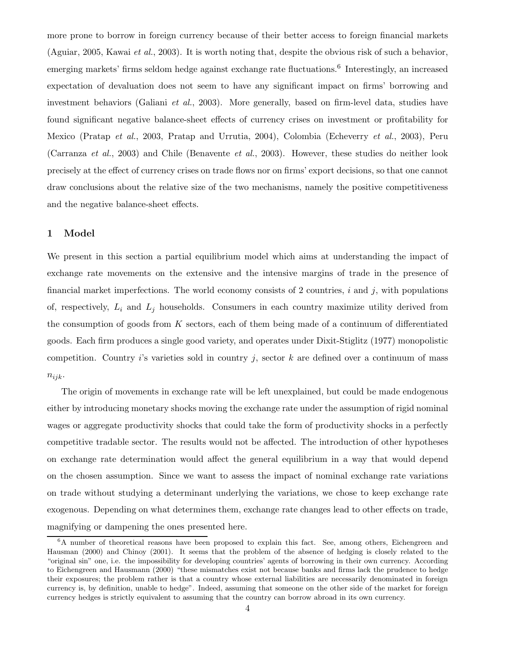more prone to borrow in foreign currency because of their better access to foreign financial markets (Aguiar, 2005, Kawai et al., 2003). It is worth noting that, despite the obvious risk of such a behavior, emerging markets' firms seldom hedge against exchange rate fluctuations.<sup>6</sup> Interestingly, an increased expectation of devaluation does not seem to have any significant impact on firms' borrowing and investment behaviors (Galiani *et al.*, 2003). More generally, based on firm-level data, studies have found significant negative balance-sheet effects of currency crises on investment or profitability for Mexico (Pratap et al., 2003, Pratap and Urrutia, 2004), Colombia (Echeverry et al., 2003), Peru (Carranza et al., 2003) and Chile (Benavente et al., 2003). However, these studies do neither look precisely at the effect of currency crises on trade flows nor on firms' export decisions, so that one cannot draw conclusions about the relative size of the two mechanisms, namely the positive competitiveness and the negative balance-sheet effects.

## 1 Model

We present in this section a partial equilibrium model which aims at understanding the impact of exchange rate movements on the extensive and the intensive margins of trade in the presence of financial market imperfections. The world economy consists of 2 countries,  $i$  and  $j$ , with populations of, respectively,  $L_i$  and  $L_j$  households. Consumers in each country maximize utility derived from the consumption of goods from  $K$  sectors, each of them being made of a continuum of differentiated goods. Each firm produces a single good variety, and operates under Dixit-Stiglitz (1977) monopolistic competition. Country i's varieties sold in country j, sector k are defined over a continuum of mass  $n_{ijk}$ .

The origin of movements in exchange rate will be left unexplained, but could be made endogenous either by introducing monetary shocks moving the exchange rate under the assumption of rigid nominal wages or aggregate productivity shocks that could take the form of productivity shocks in a perfectly competitive tradable sector. The results would not be affected. The introduction of other hypotheses on exchange rate determination would affect the general equilibrium in a way that would depend on the chosen assumption. Since we want to assess the impact of nominal exchange rate variations on trade without studying a determinant underlying the variations, we chose to keep exchange rate exogenous. Depending on what determines them, exchange rate changes lead to other effects on trade, magnifying or dampening the ones presented here.

<sup>&</sup>lt;sup>6</sup>A number of theoretical reasons have been proposed to explain this fact. See, among others, Eichengreen and Hausman (2000) and Chinoy (2001). It seems that the problem of the absence of hedging is closely related to the "original sin" one, i.e. the impossibility for developing countries' agents of borrowing in their own currency. According to Eichengreen and Hausmann (2000) "these mismatches exist not because banks and firms lack the prudence to hedge their exposures; the problem rather is that a country whose external liabilities are necessarily denominated in foreign currency is, by definition, unable to hedge". Indeed, assuming that someone on the other side of the market for foreign currency hedges is strictly equivalent to assuming that the country can borrow abroad in its own currency.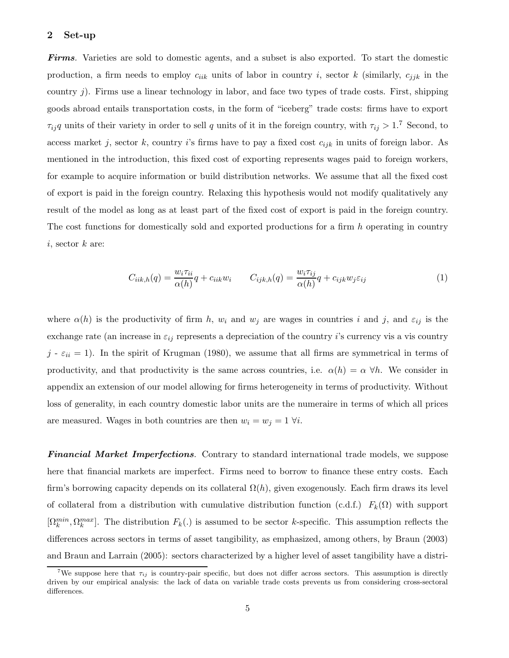#### 2 Set-up

Firms. Varieties are sold to domestic agents, and a subset is also exported. To start the domestic production, a firm needs to employ  $c_{iik}$  units of labor in country i, sector k (similarly,  $c_{jjk}$  in the country  $i$ ). Firms use a linear technology in labor, and face two types of trade costs. First, shipping goods abroad entails transportation costs, in the form of "iceberg" trade costs: firms have to export  $\tau_{ij}q$  units of their variety in order to sell q units of it in the foreign country, with  $\tau_{ij} > 1$ .<sup>7</sup> Second, to access market j, sector k, country i's firms have to pay a fixed cost  $c_{ijk}$  in units of foreign labor. As mentioned in the introduction, this fixed cost of exporting represents wages paid to foreign workers, for example to acquire information or build distribution networks. We assume that all the fixed cost of export is paid in the foreign country. Relaxing this hypothesis would not modify qualitatively any result of the model as long as at least part of the fixed cost of export is paid in the foreign country. The cost functions for domestically sold and exported productions for a firm h operating in country  $i$ , sector  $k$  are:

$$
C_{iik,h}(q) = \frac{w_i \tau_{ii}}{\alpha(h)} q + c_{iik} w_i \qquad C_{ijk,h}(q) = \frac{w_i \tau_{ij}}{\alpha(h)} q + c_{ijk} w_j \varepsilon_{ij}
$$
(1)

where  $\alpha(h)$  is the productivity of firm h,  $w_i$  and  $w_j$  are wages in countries i and j, and  $\varepsilon_{ij}$  is the exchange rate (an increase in  $\varepsilon_{ij}$  represents a depreciation of the country i's currency vis a vis country  $j - \varepsilon_{ii} = 1$ ). In the spirit of Krugman (1980), we assume that all firms are symmetrical in terms of productivity, and that productivity is the same across countries, i.e.  $\alpha(h) = \alpha \,\forall h$ . We consider in appendix an extension of our model allowing for firms heterogeneity in terms of productivity. Without loss of generality, in each country domestic labor units are the numeraire in terms of which all prices are measured. Wages in both countries are then  $w_i = w_j = 1 \forall i$ .

**Financial Market Imperfections.** Contrary to standard international trade models, we suppose here that financial markets are imperfect. Firms need to borrow to finance these entry costs. Each firm's borrowing capacity depends on its collateral  $\Omega(h)$ , given exogenously. Each firm draws its level of collateral from a distribution with cumulative distribution function (c.d.f.)  $F_k(\Omega)$  with support  $[\Omega_k^{min}, \Omega_k^{max}]$ . The distribution  $F_k(.)$  is assumed to be sector k-specific. This assumption reflects the differences across sectors in terms of asset tangibility, as emphasized, among others, by Braun (2003) and Braun and Larrain (2005): sectors characterized by a higher level of asset tangibility have a distri-

<sup>&</sup>lt;sup>7</sup>We suppose here that  $\tau_{ij}$  is country-pair specific, but does not differ across sectors. This assumption is directly driven by our empirical analysis: the lack of data on variable trade costs prevents us from considering cross-sectoral differences.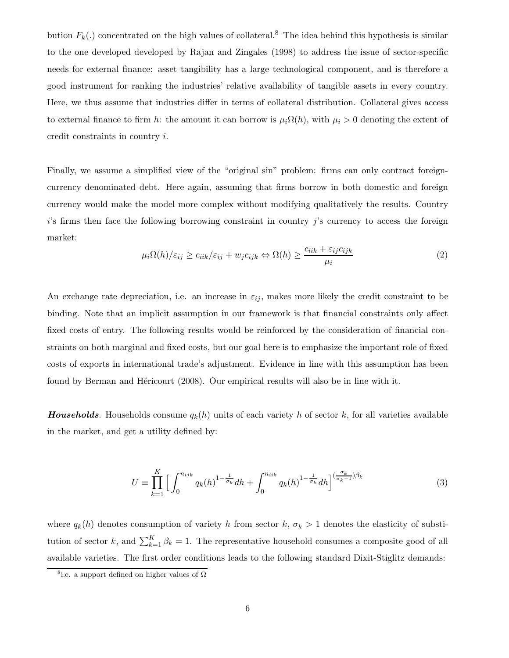bution  $F_k(.)$  concentrated on the high values of collateral.<sup>8</sup> The idea behind this hypothesis is similar to the one developed developed by Rajan and Zingales (1998) to address the issue of sector-specific needs for external finance: asset tangibility has a large technological component, and is therefore a good instrument for ranking the industries' relative availability of tangible assets in every country. Here, we thus assume that industries differ in terms of collateral distribution. Collateral gives access to external finance to firm h: the amount it can borrow is  $\mu_i\Omega(h)$ , with  $\mu_i > 0$  denoting the extent of credit constraints in country i.

Finally, we assume a simplified view of the "original sin" problem: firms can only contract foreigncurrency denominated debt. Here again, assuming that firms borrow in both domestic and foreign currency would make the model more complex without modifying qualitatively the results. Country  $i$ 's firms then face the following borrowing constraint in country j's currency to access the foreign market:

$$
\mu_i \Omega(h) / \varepsilon_{ij} \ge c_{iik} / \varepsilon_{ij} + w_j c_{ijk} \Leftrightarrow \Omega(h) \ge \frac{c_{iik} + \varepsilon_{ij} c_{ijk}}{\mu_i}
$$
 (2)

An exchange rate depreciation, i.e. an increase in  $\varepsilon_{ij}$ , makes more likely the credit constraint to be binding. Note that an implicit assumption in our framework is that financial constraints only affect fixed costs of entry. The following results would be reinforced by the consideration of financial constraints on both marginal and fixed costs, but our goal here is to emphasize the important role of fixed costs of exports in international trade's adjustment. Evidence in line with this assumption has been found by Berman and Hericourt (2008). Our empirical results will also be in line with it.

**Households.** Households consume  $q_k(h)$  units of each variety h of sector k, for all varieties available in the market, and get a utility defined by:

$$
U \equiv \prod_{k=1}^{K} \Big[ \int_0^{n_{ijk}} q_k(h)^{1 - \frac{1}{\sigma_k}} dh + \int_0^{n_{iik}} q_k(h)^{1 - \frac{1}{\sigma_k}} dh \Big]^{(\frac{\sigma_k}{\sigma_k - 1})\beta_k}
$$
(3)

where  $q_k(h)$  denotes consumption of variety h from sector k,  $\sigma_k > 1$  denotes the elasticity of substitution of sector k, and  $\sum_{k=1}^{K} \beta_k = 1$ . The representative household consumes a composite good of all available varieties. The first order conditions leads to the following standard Dixit-Stiglitz demands:

<sup>&</sup>lt;sup>8</sup>i.e. a support defined on higher values of  $\Omega$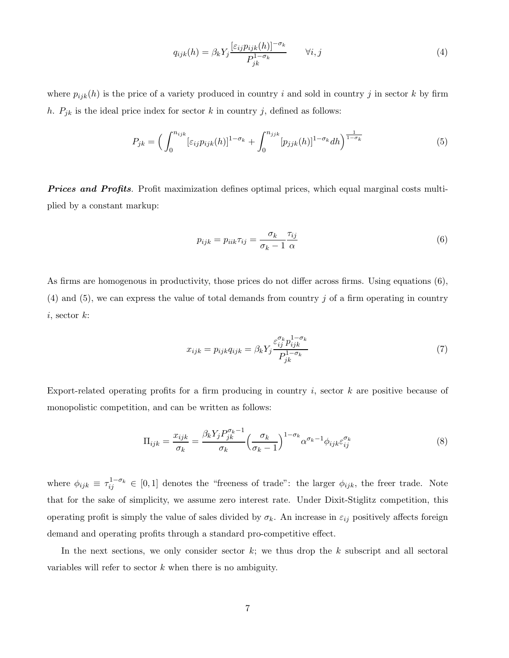$$
q_{ijk}(h) = \beta_k Y_j \frac{[\varepsilon_{ij} p_{ijk}(h)]^{-\sigma_k}}{P_{jk}^{1-\sigma_k}} \qquad \forall i, j
$$
\n
$$
(4)
$$

where  $p_{ijk}(h)$  is the price of a variety produced in country i and sold in country j in sector k by firm h.  $P_{jk}$  is the ideal price index for sector k in country j, defined as follows:

$$
P_{jk} = \left(\int_0^{n_{ijk}} [\varepsilon_{ij} p_{ijk}(h)]^{1-\sigma_k} + \int_0^{n_{jjk}} [p_{jjk}(h)]^{1-\sigma_k} dh\right)^{\frac{1}{1-\sigma_k}}
$$
(5)

**Prices and Profits.** Profit maximization defines optimal prices, which equal marginal costs multiplied by a constant markup:

$$
p_{ijk} = p_{iik}\tau_{ij} = \frac{\sigma_k}{\sigma_k - 1} \frac{\tau_{ij}}{\alpha} \tag{6}
$$

As firms are homogenous in productivity, those prices do not differ across firms. Using equations (6),  $(4)$  and  $(5)$ , we can express the value of total demands from country j of a firm operating in country  $i$ , sector  $k$ :

$$
x_{ijk} = p_{ijk}q_{ijk} = \beta_k Y_j \frac{\varepsilon_{ij}^{\sigma_k} p_{ijk}^{1-\sigma_k}}{P_{jk}^{1-\sigma_k}}
$$
\n
$$
\tag{7}
$$

Export-related operating profits for a firm producing in country  $i$ , sector  $k$  are positive because of monopolistic competition, and can be written as follows:

$$
\Pi_{ijk} = \frac{x_{ijk}}{\sigma_k} = \frac{\beta_k Y_j P_{jk}^{\sigma_k - 1}}{\sigma_k} \left(\frac{\sigma_k}{\sigma_k - 1}\right)^{1 - \sigma_k} \alpha^{\sigma_k - 1} \phi_{ijk} \varepsilon_{ij}^{\sigma_k}
$$
\n(8)

where  $\phi_{ijk} \equiv \tau_{ij}^{1-\sigma_k} \in [0,1]$  denotes the "freeness of trade": the larger  $\phi_{ijk}$ , the freer trade. Note that for the sake of simplicity, we assume zero interest rate. Under Dixit-Stiglitz competition, this operating profit is simply the value of sales divided by  $\sigma_k$ . An increase in  $\varepsilon_{ij}$  positively affects foreign demand and operating profits through a standard pro-competitive effect.

In the next sections, we only consider sector  $k$ ; we thus drop the  $k$  subscript and all sectoral variables will refer to sector  $k$  when there is no ambiguity.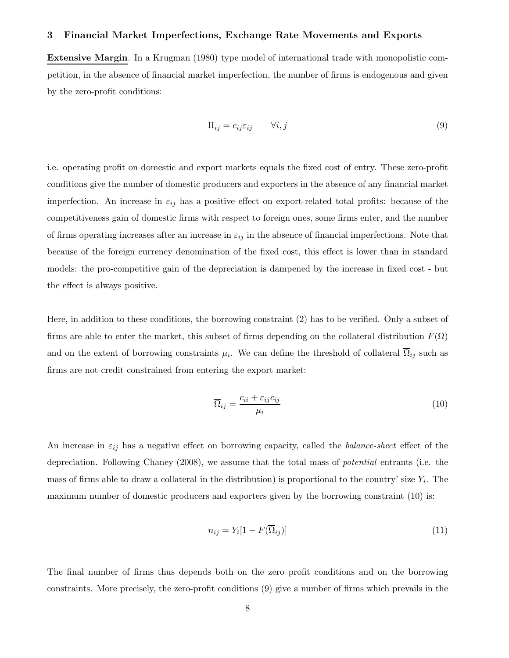#### 3 Financial Market Imperfections, Exchange Rate Movements and Exports

Extensive Margin. In a Krugman (1980) type model of international trade with monopolistic competition, in the absence of financial market imperfection, the number of firms is endogenous and given by the zero-profit conditions:

$$
\Pi_{ij} = c_{ij}\varepsilon_{ij} \qquad \forall i, j \tag{9}
$$

i.e. operating profit on domestic and export markets equals the fixed cost of entry. These zero-profit conditions give the number of domestic producers and exporters in the absence of any financial market imperfection. An increase in  $\varepsilon_{ij}$  has a positive effect on export-related total profits: because of the competitiveness gain of domestic firms with respect to foreign ones, some firms enter, and the number of firms operating increases after an increase in  $\varepsilon_{ij}$  in the absence of financial imperfections. Note that because of the foreign currency denomination of the fixed cost, this effect is lower than in standard models: the pro-competitive gain of the depreciation is dampened by the increase in fixed cost - but the effect is always positive.

Here, in addition to these conditions, the borrowing constraint (2) has to be verified. Only a subset of firms are able to enter the market, this subset of firms depending on the collateral distribution  $F(\Omega)$ and on the extent of borrowing constraints  $\mu_i$ . We can define the threshold of collateral  $\Omega_{ij}$  such as firms are not credit constrained from entering the export market:

$$
\overline{\Omega}_{ij} = \frac{c_{ii} + \varepsilon_{ij} c_{ij}}{\mu_i} \tag{10}
$$

An increase in  $\varepsilon_{ij}$  has a negative effect on borrowing capacity, called the *balance-sheet* effect of the depreciation. Following Chaney (2008), we assume that the total mass of potential entrants (i.e. the mass of firms able to draw a collateral in the distribution) is proportional to the country' size  $Y_i$ . The maximum number of domestic producers and exporters given by the borrowing constraint (10) is:

$$
n_{ij} = Y_i[1 - F(\overline{\Omega}_{ij})]
$$
\n(11)

The final number of firms thus depends both on the zero profit conditions and on the borrowing constraints. More precisely, the zero-profit conditions (9) give a number of firms which prevails in the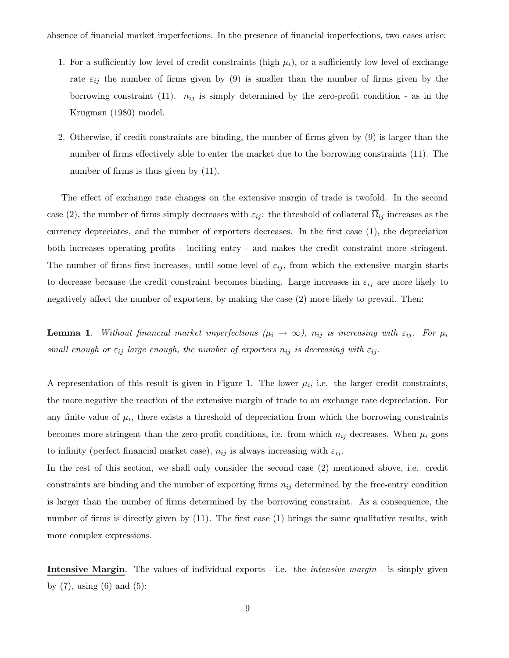- 1. For a sufficiently low level of credit constraints (high  $\mu_i$ ), or a sufficiently low level of exchange rate  $\varepsilon_{ij}$  the number of firms given by (9) is smaller than the number of firms given by the borrowing constraint (11).  $n_{ij}$  is simply determined by the zero-profit condition - as in the Krugman (1980) model.
- 2. Otherwise, if credit constraints are binding, the number of firms given by (9) is larger than the number of firms effectively able to enter the market due to the borrowing constraints (11). The number of firms is thus given by  $(11)$ .

The effect of exchange rate changes on the extensive margin of trade is twofold. In the second case (2), the number of firms simply decreases with  $\varepsilon_{ij}$ : the threshold of collateral  $\overline{\Omega}_{ij}$  increases as the currency depreciates, and the number of exporters decreases. In the first case (1), the depreciation both increases operating profits - inciting entry - and makes the credit constraint more stringent. The number of firms first increases, until some level of  $\varepsilon_{ij}$ , from which the extensive margin starts to decrease because the credit constraint becomes binding. Large increases in  $\varepsilon_{ij}$  are more likely to negatively affect the number of exporters, by making the case (2) more likely to prevail. Then:

**Lemma 1.** Without financial market imperfections  $(\mu_i \to \infty)$ ,  $n_{ij}$  is increasing with  $\varepsilon_{ij}$ . For  $\mu_i$ small enough or  $\varepsilon_{ij}$  large enough, the number of exporters  $n_{ij}$  is decreasing with  $\varepsilon_{ij}$ .

A representation of this result is given in Figure 1. The lower  $\mu_i$ , i.e. the larger credit constraints, the more negative the reaction of the extensive margin of trade to an exchange rate depreciation. For any finite value of  $\mu_i$ , there exists a threshold of depreciation from which the borrowing constraints becomes more stringent than the zero-profit conditions, i.e. from which  $n_{ij}$  decreases. When  $\mu_i$  goes to infinity (perfect financial market case),  $n_{ij}$  is always increasing with  $\varepsilon_{ij}$ .

In the rest of this section, we shall only consider the second case (2) mentioned above, i.e. credit constraints are binding and the number of exporting firms  $n_{ij}$  determined by the free-entry condition is larger than the number of firms determined by the borrowing constraint. As a consequence, the number of firms is directly given by  $(11)$ . The first case  $(1)$  brings the same qualitative results, with more complex expressions.

**Intensive Margin.** The values of individual exports - i.e. the *intensive margin* - is simply given by  $(7)$ , using  $(6)$  and  $(5)$ :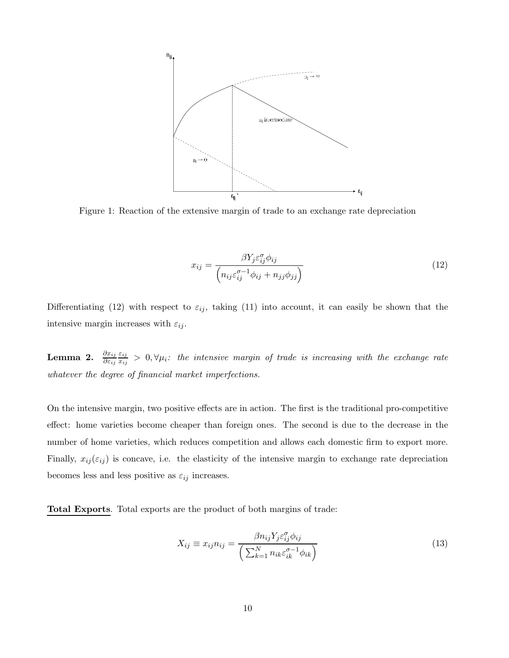

Figure 1: Reaction of the extensive margin of trade to an exchange rate depreciation

$$
x_{ij} = \frac{\beta Y_j \varepsilon_{ij}^{\sigma} \phi_{ij}}{\left(n_{ij} \varepsilon_{ij}^{\sigma-1} \phi_{ij} + n_{jj} \phi_{jj}\right)}
$$
(12)

Differentiating (12) with respect to  $\varepsilon_{ij}$ , taking (11) into account, it can easily be shown that the intensive margin increases with  $\varepsilon_{ij}$ .

 $\text{Lemma \ \~2.} \quad \frac{\partial x_{ij}}{\partial \varepsilon_{ij}}$  $\varepsilon_{ij}$  $\frac{\varepsilon_{ij}}{x_{ij}}>0, \forall \mu_i$ : the intensive margin of trade is increasing with the exchange rate whatever the degree of financial market imperfections.

On the intensive margin, two positive effects are in action. The first is the traditional pro-competitive effect: home varieties become cheaper than foreign ones. The second is due to the decrease in the number of home varieties, which reduces competition and allows each domestic firm to export more. Finally,  $x_{ij}(\varepsilon_{ij})$  is concave, i.e. the elasticity of the intensive margin to exchange rate depreciation becomes less and less positive as  $\varepsilon_{ij}$  increases.

Total Exports. Total exports are the product of both margins of trade:

$$
X_{ij} \equiv x_{ij} n_{ij} = \frac{\beta n_{ij} Y_j \varepsilon_{ij}^{\sigma} \phi_{ij}}{\left(\sum_{k=1}^{N} n_{ik} \varepsilon_{ik}^{\sigma-1} \phi_{ik}\right)}
$$
(13)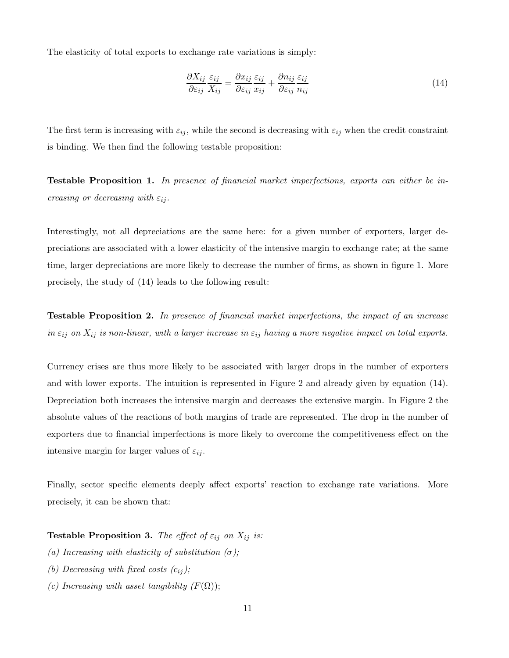The elasticity of total exports to exchange rate variations is simply:

$$
\frac{\partial X_{ij}}{\partial \varepsilon_{ij}} \frac{\varepsilon_{ij}}{X_{ij}} = \frac{\partial x_{ij}}{\partial \varepsilon_{ij}} \frac{\varepsilon_{ij}}{x_{ij}} + \frac{\partial n_{ij}}{\partial \varepsilon_{ij}} \frac{\varepsilon_{ij}}{n_{ij}}
$$
(14)

The first term is increasing with  $\varepsilon_{ij}$ , while the second is decreasing with  $\varepsilon_{ij}$  when the credit constraint is binding. We then find the following testable proposition:

**Testable Proposition 1.** In presence of financial market imperfections, exports can either be increasing or decreasing with  $\varepsilon_{ij}$ .

Interestingly, not all depreciations are the same here: for a given number of exporters, larger depreciations are associated with a lower elasticity of the intensive margin to exchange rate; at the same time, larger depreciations are more likely to decrease the number of firms, as shown in figure 1. More precisely, the study of (14) leads to the following result:

Testable Proposition 2. In presence of financial market imperfections, the impact of an increase in  $\varepsilon_{ij}$  on  $X_{ij}$  is non-linear, with a larger increase in  $\varepsilon_{ij}$  having a more negative impact on total exports.

Currency crises are thus more likely to be associated with larger drops in the number of exporters and with lower exports. The intuition is represented in Figure 2 and already given by equation (14). Depreciation both increases the intensive margin and decreases the extensive margin. In Figure 2 the absolute values of the reactions of both margins of trade are represented. The drop in the number of exporters due to financial imperfections is more likely to overcome the competitiveness effect on the intensive margin for larger values of  $\varepsilon_{ij}$ .

Finally, sector specific elements deeply affect exports' reaction to exchange rate variations. More precisely, it can be shown that:

**Testable Proposition 3.** The effect of  $\varepsilon_{ij}$  on  $X_{ij}$  is:

- (a) Increasing with elasticity of substitution  $(\sigma)$ ;
- (b) Decreasing with fixed costs  $(c_{ij})$ ;
- (c) Increasing with asset tangibility  $(F(\Omega));$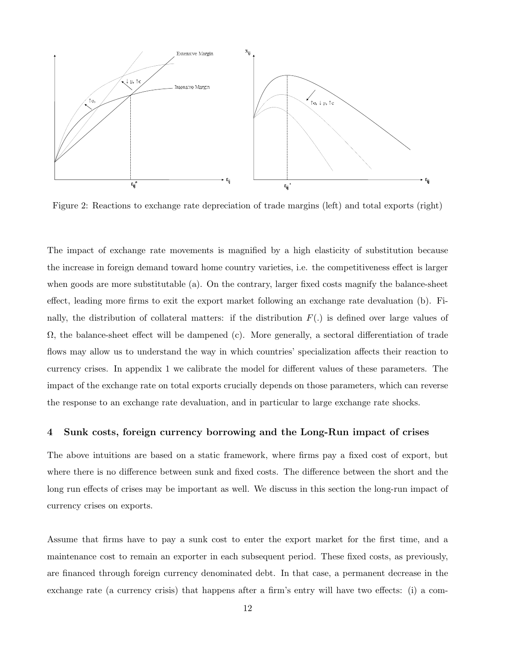

Figure 2: Reactions to exchange rate depreciation of trade margins (left) and total exports (right)

The impact of exchange rate movements is magnified by a high elasticity of substitution because the increase in foreign demand toward home country varieties, i.e. the competitiveness effect is larger when goods are more substitutable (a). On the contrary, larger fixed costs magnify the balance-sheet effect, leading more firms to exit the export market following an exchange rate devaluation (b). Finally, the distribution of collateral matters: if the distribution  $F(.)$  is defined over large values of  $\Omega$ , the balance-sheet effect will be dampened (c). More generally, a sectoral differentiation of trade flows may allow us to understand the way in which countries' specialization affects their reaction to currency crises. In appendix 1 we calibrate the model for different values of these parameters. The impact of the exchange rate on total exports crucially depends on those parameters, which can reverse the response to an exchange rate devaluation, and in particular to large exchange rate shocks.

#### 4 Sunk costs, foreign currency borrowing and the Long-Run impact of crises

The above intuitions are based on a static framework, where firms pay a fixed cost of export, but where there is no difference between sunk and fixed costs. The difference between the short and the long run effects of crises may be important as well. We discuss in this section the long-run impact of currency crises on exports.

Assume that firms have to pay a sunk cost to enter the export market for the first time, and a maintenance cost to remain an exporter in each subsequent period. These fixed costs, as previously, are financed through foreign currency denominated debt. In that case, a permanent decrease in the exchange rate (a currency crisis) that happens after a firm's entry will have two effects: (i) a com-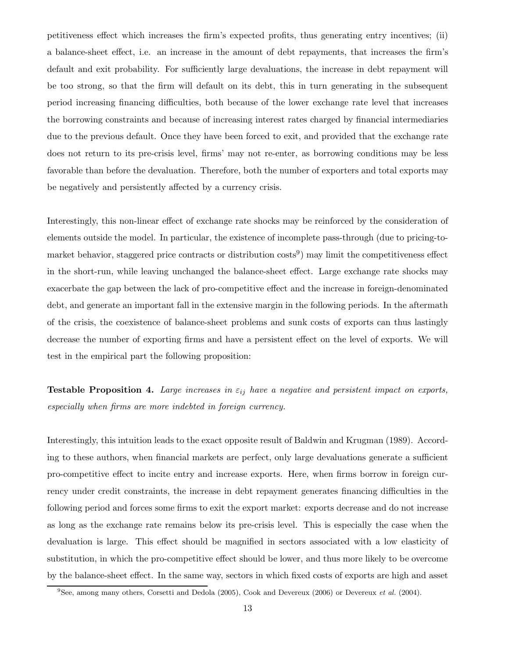petitiveness effect which increases the firm's expected profits, thus generating entry incentives; (ii) a balance-sheet effect, i.e. an increase in the amount of debt repayments, that increases the firm's default and exit probability. For sufficiently large devaluations, the increase in debt repayment will be too strong, so that the firm will default on its debt, this in turn generating in the subsequent period increasing financing difficulties, both because of the lower exchange rate level that increases the borrowing constraints and because of increasing interest rates charged by financial intermediaries due to the previous default. Once they have been forced to exit, and provided that the exchange rate does not return to its pre-crisis level, firms' may not re-enter, as borrowing conditions may be less favorable than before the devaluation. Therefore, both the number of exporters and total exports may be negatively and persistently affected by a currency crisis.

Interestingly, this non-linear effect of exchange rate shocks may be reinforced by the consideration of elements outside the model. In particular, the existence of incomplete pass-through (due to pricing-tomarket behavior, staggered price contracts or distribution costs<sup>9</sup>) may limit the competitiveness effect in the short-run, while leaving unchanged the balance-sheet effect. Large exchange rate shocks may exacerbate the gap between the lack of pro-competitive effect and the increase in foreign-denominated debt, and generate an important fall in the extensive margin in the following periods. In the aftermath of the crisis, the coexistence of balance-sheet problems and sunk costs of exports can thus lastingly decrease the number of exporting firms and have a persistent effect on the level of exports. We will test in the empirical part the following proposition:

**Testable Proposition 4.** Large increases in  $\varepsilon_{ij}$  have a negative and persistent impact on exports, especially when firms are more indebted in foreign currency.

Interestingly, this intuition leads to the exact opposite result of Baldwin and Krugman (1989). According to these authors, when financial markets are perfect, only large devaluations generate a sufficient pro-competitive effect to incite entry and increase exports. Here, when firms borrow in foreign currency under credit constraints, the increase in debt repayment generates financing difficulties in the following period and forces some firms to exit the export market: exports decrease and do not increase as long as the exchange rate remains below its pre-crisis level. This is especially the case when the devaluation is large. This effect should be magnified in sectors associated with a low elasticity of substitution, in which the pro-competitive effect should be lower, and thus more likely to be overcome by the balance-sheet effect. In the same way, sectors in which fixed costs of exports are high and asset

 $9$ See, among many others, Corsetti and Dedola (2005), Cook and Devereux (2006) or Devereux *et al.* (2004).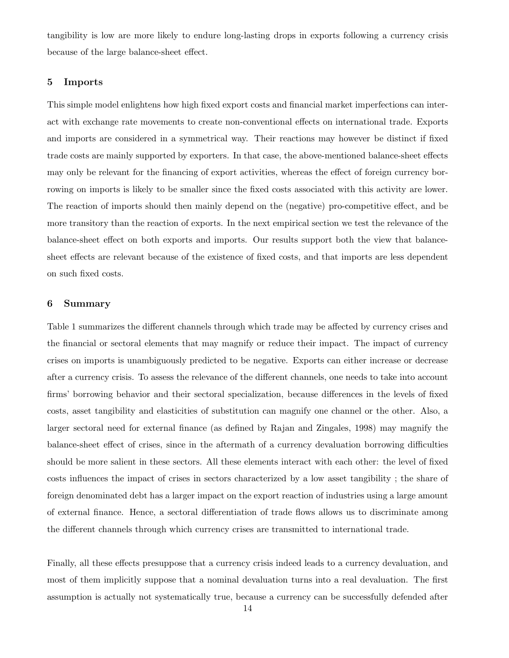tangibility is low are more likely to endure long-lasting drops in exports following a currency crisis because of the large balance-sheet effect.

## 5 Imports

This simple model enlightens how high fixed export costs and financial market imperfections can interact with exchange rate movements to create non-conventional effects on international trade. Exports and imports are considered in a symmetrical way. Their reactions may however be distinct if fixed trade costs are mainly supported by exporters. In that case, the above-mentioned balance-sheet effects may only be relevant for the financing of export activities, whereas the effect of foreign currency borrowing on imports is likely to be smaller since the fixed costs associated with this activity are lower. The reaction of imports should then mainly depend on the (negative) pro-competitive effect, and be more transitory than the reaction of exports. In the next empirical section we test the relevance of the balance-sheet effect on both exports and imports. Our results support both the view that balancesheet effects are relevant because of the existence of fixed costs, and that imports are less dependent on such fixed costs.

## 6 Summary

Table 1 summarizes the different channels through which trade may be affected by currency crises and the financial or sectoral elements that may magnify or reduce their impact. The impact of currency crises on imports is unambiguously predicted to be negative. Exports can either increase or decrease after a currency crisis. To assess the relevance of the different channels, one needs to take into account firms' borrowing behavior and their sectoral specialization, because differences in the levels of fixed costs, asset tangibility and elasticities of substitution can magnify one channel or the other. Also, a larger sectoral need for external finance (as defined by Rajan and Zingales, 1998) may magnify the balance-sheet effect of crises, since in the aftermath of a currency devaluation borrowing difficulties should be more salient in these sectors. All these elements interact with each other: the level of fixed costs influences the impact of crises in sectors characterized by a low asset tangibility ; the share of foreign denominated debt has a larger impact on the export reaction of industries using a large amount of external finance. Hence, a sectoral differentiation of trade flows allows us to discriminate among the different channels through which currency crises are transmitted to international trade.

Finally, all these effects presuppose that a currency crisis indeed leads to a currency devaluation, and most of them implicitly suppose that a nominal devaluation turns into a real devaluation. The first assumption is actually not systematically true, because a currency can be successfully defended after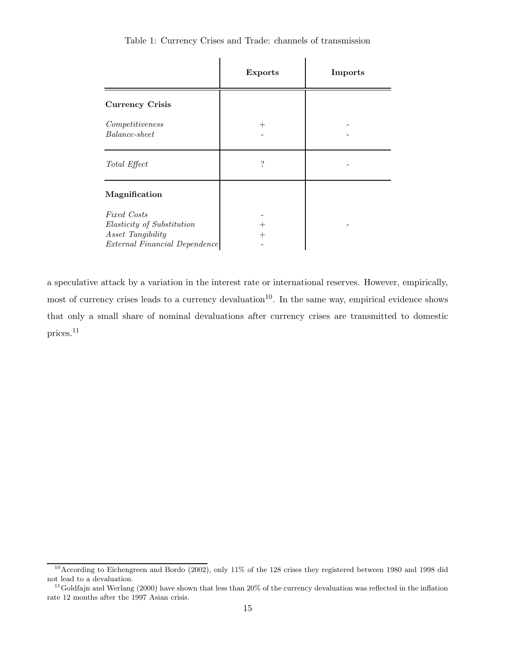|                                                                                                 | <b>Exports</b> | Imports |
|-------------------------------------------------------------------------------------------------|----------------|---------|
| <b>Currency Crisis</b>                                                                          |                |         |
| Competitiveness<br>Balance-sheet                                                                | $^{+}$         |         |
| Total Effect                                                                                    | $\ddot{?}$     |         |
| Magnification                                                                                   |                |         |
| Fixed Costs<br>Elasticity of Substitution<br>Asset Tangibility<br>External Financial Dependence |                |         |

Table 1: Currency Crises and Trade: channels of transmission

a speculative attack by a variation in the interest rate or international reserves. However, empirically, most of currency crises leads to a currency devaluation<sup>10</sup>. In the same way, empirical evidence shows that only a small share of nominal devaluations after currency crises are transmitted to domestic prices.<sup>11</sup>

<sup>&</sup>lt;sup>10</sup> According to Eichengreen and Bordo (2002), only 11% of the 128 crises they registered between 1980 and 1998 did not lead to a devaluation.

 $11$ Goldfajn and Werlang (2000) have shown that less than 20% of the currency devaluation was reflected in the inflation rate 12 months after the 1997 Asian crisis.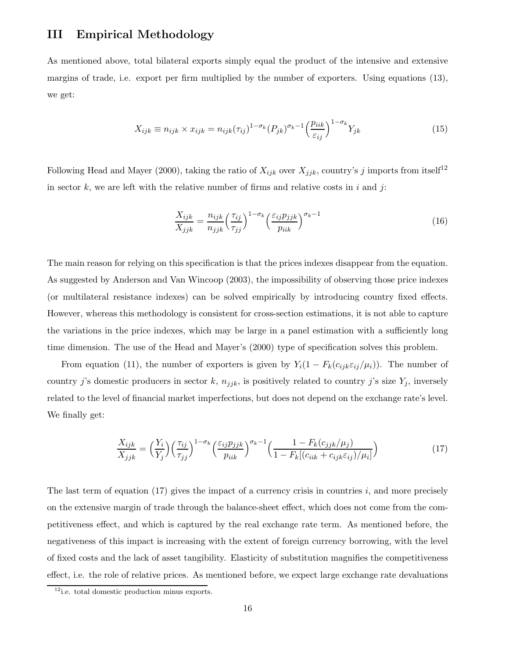# III Empirical Methodology

As mentioned above, total bilateral exports simply equal the product of the intensive and extensive margins of trade, i.e. export per firm multiplied by the number of exporters. Using equations (13), we get:

$$
X_{ijk} \equiv n_{ijk} \times x_{ijk} = n_{ijk} (\tau_{ij})^{1-\sigma_k} (P_{jk})^{\sigma_k - 1} \left(\frac{p_{iik}}{\varepsilon_{ij}}\right)^{1-\sigma_k} Y_{jk}
$$
(15)

Following Head and Mayer (2000), taking the ratio of  $X_{ijk}$  over  $X_{jjk}$ , country's j imports from itself<sup>12</sup> in sector k, we are left with the relative number of firms and relative costs in i and j:

$$
\frac{X_{ijk}}{X_{jjk}} = \frac{n_{ijk}}{n_{jjk}} \left(\frac{\tau_{ij}}{\tau_{jj}}\right)^{1-\sigma_k} \left(\frac{\varepsilon_{ij}p_{jjk}}{p_{iik}}\right)^{\sigma_k - 1}
$$
\n(16)

The main reason for relying on this specification is that the prices indexes disappear from the equation. As suggested by Anderson and Van Wincoop (2003), the impossibility of observing those price indexes (or multilateral resistance indexes) can be solved empirically by introducing country fixed effects. However, whereas this methodology is consistent for cross-section estimations, it is not able to capture the variations in the price indexes, which may be large in a panel estimation with a sufficiently long time dimension. The use of the Head and Mayer's (2000) type of specification solves this problem.

From equation (11), the number of exporters is given by  $Y_i(1 - F_k(c_{ijk} \varepsilon_{ij}/\mu_i))$ . The number of country j's domestic producers in sector k,  $n_{jjk}$ , is positively related to country j's size  $Y_j$ , inversely related to the level of financial market imperfections, but does not depend on the exchange rate's level. We finally get:

$$
\frac{X_{ijk}}{X_{jjk}} = \left(\frac{Y_i}{Y_j}\right) \left(\frac{\tau_{ij}}{\tau_{jj}}\right)^{1-\sigma_k} \left(\frac{\varepsilon_{ij}p_{jjk}}{p_{iik}}\right)^{\sigma_k-1} \left(\frac{1-F_k(c_{jjk}/\mu_j)}{1-F_k[(c_{iik}+c_{ijk}\varepsilon_{ij})/\mu_i]}\right)
$$
(17)

The last term of equation  $(17)$  gives the impact of a currency crisis in countries i, and more precisely on the extensive margin of trade through the balance-sheet effect, which does not come from the competitiveness effect, and which is captured by the real exchange rate term. As mentioned before, the negativeness of this impact is increasing with the extent of foreign currency borrowing, with the level of fixed costs and the lack of asset tangibility. Elasticity of substitution magnifies the competitiveness effect, i.e. the role of relative prices. As mentioned before, we expect large exchange rate devaluations

<sup>12</sup>i.e. total domestic production minus exports.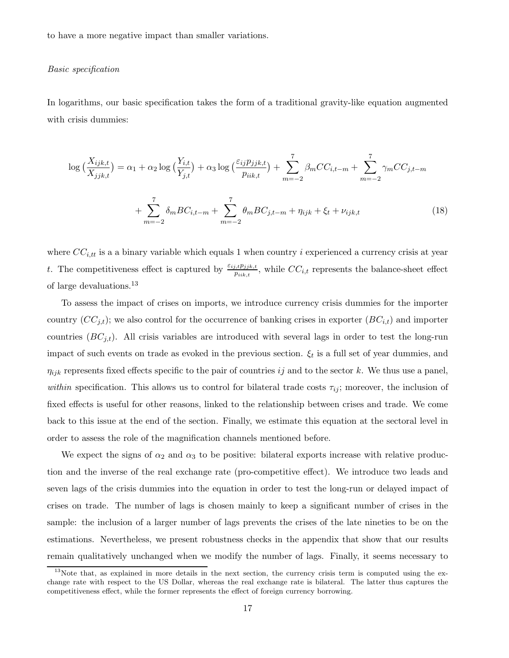to have a more negative impact than smaller variations.

#### Basic specification

In logarithms, our basic specification takes the form of a traditional gravity-like equation augmented with crisis dummies:

$$
\log\left(\frac{X_{ijk,t}}{X_{jjk,t}}\right) = \alpha_1 + \alpha_2 \log\left(\frac{Y_{i,t}}{Y_{j,t}}\right) + \alpha_3 \log\left(\frac{\varepsilon_{ij}p_{jjk,t}}{p_{iik,t}}\right) + \sum_{m=-2}^{7} \beta_m CC_{i,t-m} + \sum_{m=-2}^{7} \gamma_m CC_{j,t-m}
$$

$$
+ \sum_{m=-2}^{7} \delta_m BC_{i,t-m} + \sum_{m=-2}^{7} \theta_m BC_{j,t-m} + \eta_{ijk} + \xi_t + \nu_{ijk,t} \tag{18}
$$

where  $CC_{i,tt}$  is a a binary variable which equals 1 when country i experienced a currency crisis at year t. The competitiveness effect is captured by  $\frac{\varepsilon_{ij,t}p_{jjk,t}}{p_{iik,t}}$ , while  $CC_{i,t}$  represents the balance-sheet effect of large devaluations.<sup>13</sup>

To assess the impact of crises on imports, we introduce currency crisis dummies for the importer country  $(CC_{j,t})$ ; we also control for the occurrence of banking crises in exporter  $(BC_{i,t})$  and importer countries  $(BC_{i,t})$ . All crisis variables are introduced with several lags in order to test the long-run impact of such events on trade as evoked in the previous section.  $\xi_t$  is a full set of year dummies, and  $\eta_{ijk}$  represents fixed effects specific to the pair of countries ij and to the sector k. We thus use a panel, within specification. This allows us to control for bilateral trade costs  $\tau_{ij}$ ; moreover, the inclusion of fixed effects is useful for other reasons, linked to the relationship between crises and trade. We come back to this issue at the end of the section. Finally, we estimate this equation at the sectoral level in order to assess the role of the magnification channels mentioned before.

We expect the signs of  $\alpha_2$  and  $\alpha_3$  to be positive: bilateral exports increase with relative production and the inverse of the real exchange rate (pro-competitive effect). We introduce two leads and seven lags of the crisis dummies into the equation in order to test the long-run or delayed impact of crises on trade. The number of lags is chosen mainly to keep a significant number of crises in the sample: the inclusion of a larger number of lags prevents the crises of the late nineties to be on the estimations. Nevertheless, we present robustness checks in the appendix that show that our results remain qualitatively unchanged when we modify the number of lags. Finally, it seems necessary to

 $13$ Note that, as explained in more details in the next section, the currency crisis term is computed using the exchange rate with respect to the US Dollar, whereas the real exchange rate is bilateral. The latter thus captures the competitiveness effect, while the former represents the effect of foreign currency borrowing.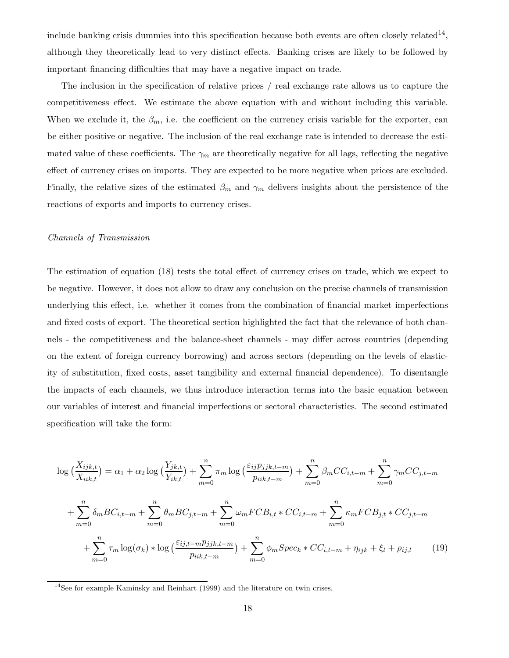include banking crisis dummies into this specification because both events are often closely related<sup>14</sup>, although they theoretically lead to very distinct effects. Banking crises are likely to be followed by important financing difficulties that may have a negative impact on trade.

The inclusion in the specification of relative prices / real exchange rate allows us to capture the competitiveness effect. We estimate the above equation with and without including this variable. When we exclude it, the  $\beta_m$ , i.e. the coefficient on the currency crisis variable for the exporter, can be either positive or negative. The inclusion of the real exchange rate is intended to decrease the estimated value of these coefficients. The  $\gamma_m$  are theoretically negative for all lags, reflecting the negative effect of currency crises on imports. They are expected to be more negative when prices are excluded. Finally, the relative sizes of the estimated  $\beta_m$  and  $\gamma_m$  delivers insights about the persistence of the reactions of exports and imports to currency crises.

#### Channels of Transmission

The estimation of equation (18) tests the total effect of currency crises on trade, which we expect to be negative. However, it does not allow to draw any conclusion on the precise channels of transmission underlying this effect, i.e. whether it comes from the combination of financial market imperfections and fixed costs of export. The theoretical section highlighted the fact that the relevance of both channels - the competitiveness and the balance-sheet channels - may differ across countries (depending on the extent of foreign currency borrowing) and across sectors (depending on the levels of elasticity of substitution, fixed costs, asset tangibility and external financial dependence). To disentangle the impacts of each channels, we thus introduce interaction terms into the basic equation between our variables of interest and financial imperfections or sectoral characteristics. The second estimated specification will take the form:

$$
\log\left(\frac{X_{ijk,t}}{X_{iik,t}}\right) = \alpha_1 + \alpha_2 \log\left(\frac{Y_{jk,t}}{Y_{ik,t}}\right) + \sum_{m=0}^{n} \pi_m \log\left(\frac{\varepsilon_{ij} p_{jjk,t-m}}{p_{iik,t-m}}\right) + \sum_{m=0}^{n} \beta_m CC_{i,t-m} + \sum_{m=0}^{n} \gamma_m CC_{j,t-m}
$$

$$
+ \sum_{m=0}^{n} \delta_m BC_{i,t-m} + \sum_{m=0}^{n} \theta_m BC_{j,t-m} + \sum_{m=0}^{n} \omega_m FCB_{i,t} * CC_{i,t-m} + \sum_{m=0}^{n} \kappa_m FCB_{j,t} * CC_{j,t-m}
$$

$$
+ \sum_{m=0}^{n} \tau_m \log(\sigma_k) * \log\left(\frac{\varepsilon_{ij,t-m} p_{jjk,t-m}}{p_{iik,t-m}}\right) + \sum_{m=0}^{n} \phi_m Spec_k * CC_{i,t-m} + \eta_{ijk} + \xi_t + \rho_{ij,t} \tag{19}
$$

<sup>&</sup>lt;sup>14</sup>See for example Kaminsky and Reinhart (1999) and the literature on twin crises.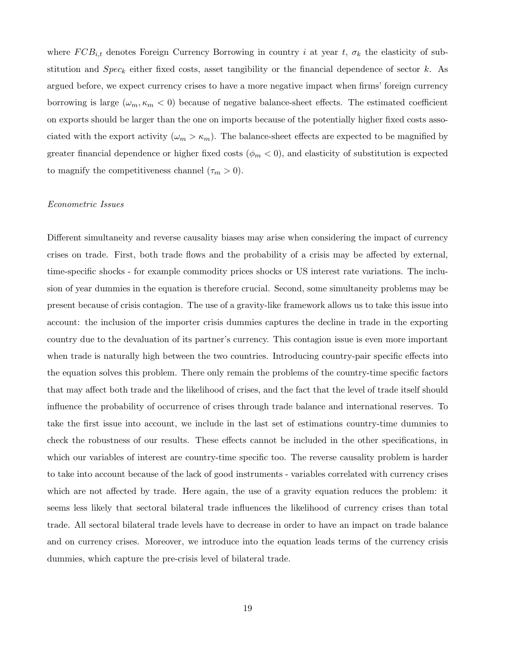where  $FCB_{i,t}$  denotes Foreign Currency Borrowing in country i at year t,  $\sigma_k$  the elasticity of substitution and  $Spec_k$  either fixed costs, asset tangibility or the financial dependence of sector k. As argued before, we expect currency crises to have a more negative impact when firms' foreign currency borrowing is large  $(\omega_m, \kappa_m < 0)$  because of negative balance-sheet effects. The estimated coefficient on exports should be larger than the one on imports because of the potentially higher fixed costs associated with the export activity  $(\omega_m > \kappa_m)$ . The balance-sheet effects are expected to be magnified by greater financial dependence or higher fixed costs ( $\phi_m < 0$ ), and elasticity of substitution is expected to magnify the competitiveness channel  $(\tau_m > 0)$ .

#### Econometric Issues

Different simultaneity and reverse causality biases may arise when considering the impact of currency crises on trade. First, both trade flows and the probability of a crisis may be affected by external, time-specific shocks - for example commodity prices shocks or US interest rate variations. The inclusion of year dummies in the equation is therefore crucial. Second, some simultaneity problems may be present because of crisis contagion. The use of a gravity-like framework allows us to take this issue into account: the inclusion of the importer crisis dummies captures the decline in trade in the exporting country due to the devaluation of its partner's currency. This contagion issue is even more important when trade is naturally high between the two countries. Introducing country-pair specific effects into the equation solves this problem. There only remain the problems of the country-time specific factors that may affect both trade and the likelihood of crises, and the fact that the level of trade itself should influence the probability of occurrence of crises through trade balance and international reserves. To take the first issue into account, we include in the last set of estimations country-time dummies to check the robustness of our results. These effects cannot be included in the other specifications, in which our variables of interest are country-time specific too. The reverse causality problem is harder to take into account because of the lack of good instruments - variables correlated with currency crises which are not affected by trade. Here again, the use of a gravity equation reduces the problem: it seems less likely that sectoral bilateral trade influences the likelihood of currency crises than total trade. All sectoral bilateral trade levels have to decrease in order to have an impact on trade balance and on currency crises. Moreover, we introduce into the equation leads terms of the currency crisis dummies, which capture the pre-crisis level of bilateral trade.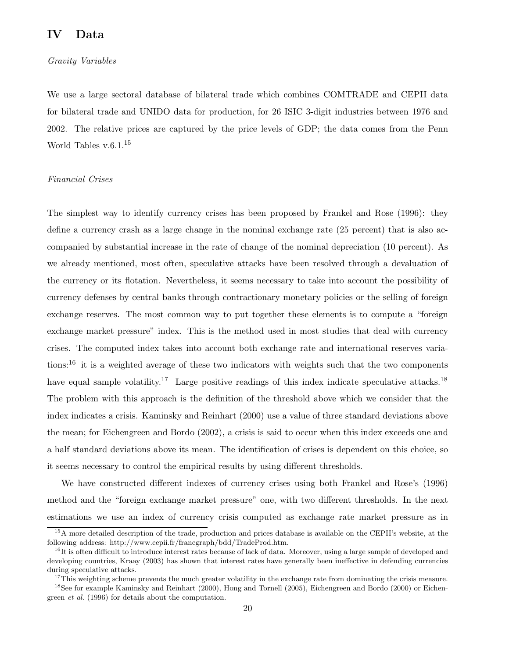# IV Data

#### Gravity Variables

We use a large sectoral database of bilateral trade which combines COMTRADE and CEPII data for bilateral trade and UNIDO data for production, for 26 ISIC 3-digit industries between 1976 and 2002. The relative prices are captured by the price levels of GDP; the data comes from the Penn World Tables v.6.1.<sup>15</sup>

#### Financial Crises

The simplest way to identify currency crises has been proposed by Frankel and Rose (1996): they define a currency crash as a large change in the nominal exchange rate (25 percent) that is also accompanied by substantial increase in the rate of change of the nominal depreciation (10 percent). As we already mentioned, most often, speculative attacks have been resolved through a devaluation of the currency or its flotation. Nevertheless, it seems necessary to take into account the possibility of currency defenses by central banks through contractionary monetary policies or the selling of foreign exchange reserves. The most common way to put together these elements is to compute a "foreign exchange market pressure" index. This is the method used in most studies that deal with currency crises. The computed index takes into account both exchange rate and international reserves variations:<sup>16</sup> it is a weighted average of these two indicators with weights such that the two components have equal sample volatility.<sup>17</sup> Large positive readings of this index indicate speculative attacks.<sup>18</sup> The problem with this approach is the definition of the threshold above which we consider that the index indicates a crisis. Kaminsky and Reinhart (2000) use a value of three standard deviations above the mean; for Eichengreen and Bordo (2002), a crisis is said to occur when this index exceeds one and a half standard deviations above its mean. The identification of crises is dependent on this choice, so it seems necessary to control the empirical results by using different thresholds.

We have constructed different indexes of currency crises using both Frankel and Rose's (1996) method and the "foreign exchange market pressure" one, with two different thresholds. In the next estimations we use an index of currency crisis computed as exchange rate market pressure as in

<sup>&</sup>lt;sup>15</sup>A more detailed description of the trade, production and prices database is available on the CEPII's website, at the following address: http://www.cepii.fr/francgraph/bdd/TradeProd.htm.

 $^{16}$ It is often difficult to introduce interest rates because of lack of data. Moreover, using a large sample of developed and developing countries, Kraay (2003) has shown that interest rates have generally been ineffective in defending currencies during speculative attacks.

<sup>&</sup>lt;sup>17</sup>This weighting scheme prevents the much greater volatility in the exchange rate from dominating the crisis measure. <sup>18</sup>See for example Kaminsky and Reinhart (2000), Hong and Tornell (2005), Eichengreen and Bordo (2000) or Eichengreen et al. (1996) for details about the computation.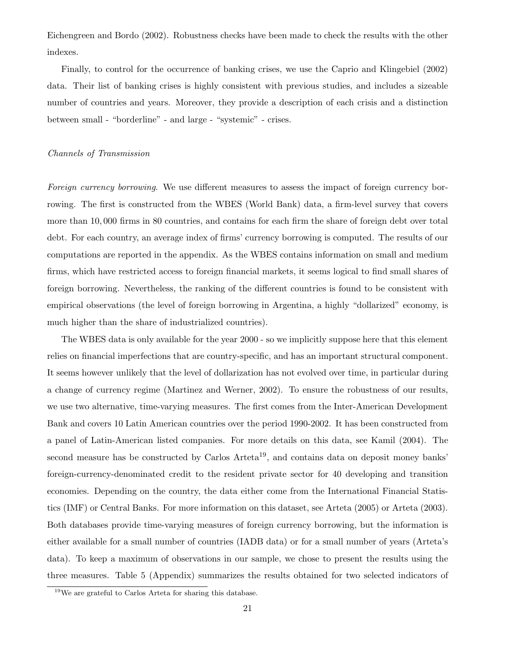Eichengreen and Bordo (2002). Robustness checks have been made to check the results with the other indexes.

Finally, to control for the occurrence of banking crises, we use the Caprio and Klingebiel (2002) data. Their list of banking crises is highly consistent with previous studies, and includes a sizeable number of countries and years. Moreover, they provide a description of each crisis and a distinction between small - "borderline" - and large - "systemic" - crises.

#### Channels of Transmission

Foreign currency borrowing. We use different measures to assess the impact of foreign currency borrowing. The first is constructed from the WBES (World Bank) data, a firm-level survey that covers more than 10, 000 firms in 80 countries, and contains for each firm the share of foreign debt over total debt. For each country, an average index of firms' currency borrowing is computed. The results of our computations are reported in the appendix. As the WBES contains information on small and medium firms, which have restricted access to foreign financial markets, it seems logical to find small shares of foreign borrowing. Nevertheless, the ranking of the different countries is found to be consistent with empirical observations (the level of foreign borrowing in Argentina, a highly "dollarized" economy, is much higher than the share of industrialized countries).

The WBES data is only available for the year 2000 - so we implicitly suppose here that this element relies on financial imperfections that are country-specific, and has an important structural component. It seems however unlikely that the level of dollarization has not evolved over time, in particular during a change of currency regime (Martinez and Werner, 2002). To ensure the robustness of our results, we use two alternative, time-varying measures. The first comes from the Inter-American Development Bank and covers 10 Latin American countries over the period 1990-2002. It has been constructed from a panel of Latin-American listed companies. For more details on this data, see Kamil (2004). The second measure has be constructed by Carlos Arteta<sup>19</sup>, and contains data on deposit money banks' foreign-currency-denominated credit to the resident private sector for 40 developing and transition economies. Depending on the country, the data either come from the International Financial Statistics (IMF) or Central Banks. For more information on this dataset, see Arteta (2005) or Arteta (2003). Both databases provide time-varying measures of foreign currency borrowing, but the information is either available for a small number of countries (IADB data) or for a small number of years (Arteta's data). To keep a maximum of observations in our sample, we chose to present the results using the three measures. Table 5 (Appendix) summarizes the results obtained for two selected indicators of

<sup>19</sup>We are grateful to Carlos Arteta for sharing this database.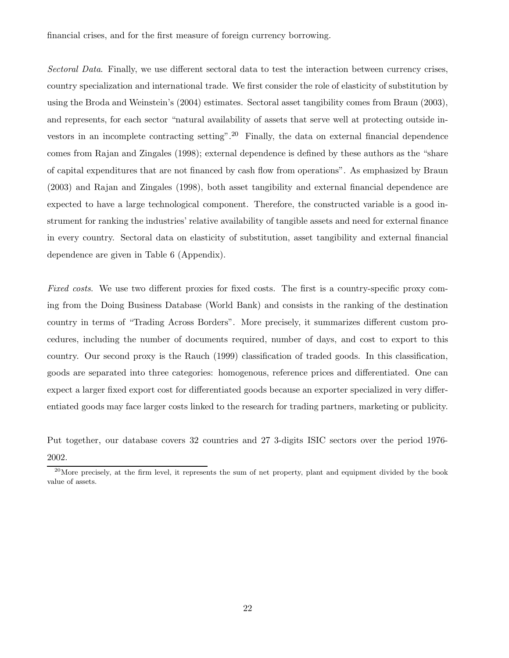financial crises, and for the first measure of foreign currency borrowing.

Sectoral Data. Finally, we use different sectoral data to test the interaction between currency crises, country specialization and international trade. We first consider the role of elasticity of substitution by using the Broda and Weinstein's (2004) estimates. Sectoral asset tangibility comes from Braun (2003), and represents, for each sector "natural availability of assets that serve well at protecting outside investors in an incomplete contracting setting".<sup>20</sup> Finally, the data on external financial dependence comes from Rajan and Zingales (1998); external dependence is defined by these authors as the "share of capital expenditures that are not financed by cash flow from operations". As emphasized by Braun (2003) and Rajan and Zingales (1998), both asset tangibility and external financial dependence are expected to have a large technological component. Therefore, the constructed variable is a good instrument for ranking the industries' relative availability of tangible assets and need for external finance in every country. Sectoral data on elasticity of substitution, asset tangibility and external financial dependence are given in Table 6 (Appendix).

Fixed costs. We use two different proxies for fixed costs. The first is a country-specific proxy coming from the Doing Business Database (World Bank) and consists in the ranking of the destination country in terms of "Trading Across Borders". More precisely, it summarizes different custom procedures, including the number of documents required, number of days, and cost to export to this country. Our second proxy is the Rauch (1999) classification of traded goods. In this classification, goods are separated into three categories: homogenous, reference prices and differentiated. One can expect a larger fixed export cost for differentiated goods because an exporter specialized in very differentiated goods may face larger costs linked to the research for trading partners, marketing or publicity.

Put together, our database covers 32 countries and 27 3-digits ISIC sectors over the period 1976- 2002.

 $^{20}$ More precisely, at the firm level, it represents the sum of net property, plant and equipment divided by the book value of assets.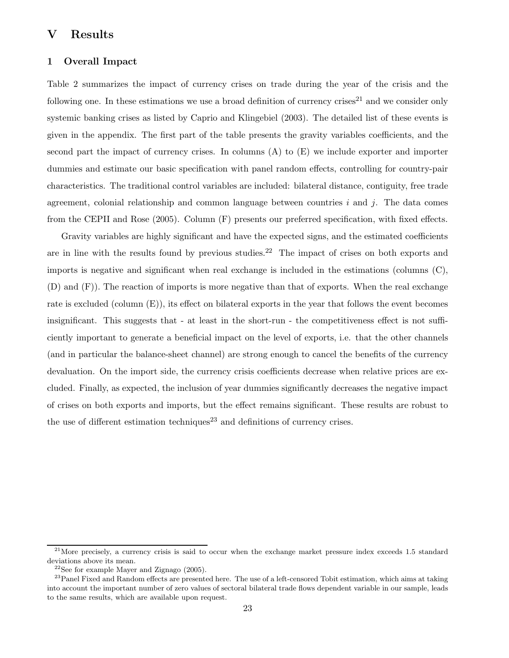# V Results

## 1 Overall Impact

Table 2 summarizes the impact of currency crises on trade during the year of the crisis and the following one. In these estimations we use a broad definition of currency crises<sup>21</sup> and we consider only systemic banking crises as listed by Caprio and Klingebiel (2003). The detailed list of these events is given in the appendix. The first part of the table presents the gravity variables coefficients, and the second part the impact of currency crises. In columns (A) to (E) we include exporter and importer dummies and estimate our basic specification with panel random effects, controlling for country-pair characteristics. The traditional control variables are included: bilateral distance, contiguity, free trade agreement, colonial relationship and common language between countries  $i$  and  $j$ . The data comes from the CEPII and Rose (2005). Column (F) presents our preferred specification, with fixed effects.

Gravity variables are highly significant and have the expected signs, and the estimated coefficients are in line with the results found by previous studies.<sup>22</sup> The impact of crises on both exports and imports is negative and significant when real exchange is included in the estimations (columns (C), (D) and (F)). The reaction of imports is more negative than that of exports. When the real exchange rate is excluded (column  $(E)$ ), its effect on bilateral exports in the year that follows the event becomes insignificant. This suggests that - at least in the short-run - the competitiveness effect is not sufficiently important to generate a beneficial impact on the level of exports, i.e. that the other channels (and in particular the balance-sheet channel) are strong enough to cancel the benefits of the currency devaluation. On the import side, the currency crisis coefficients decrease when relative prices are excluded. Finally, as expected, the inclusion of year dummies significantly decreases the negative impact of crises on both exports and imports, but the effect remains significant. These results are robust to the use of different estimation techniques<sup>23</sup> and definitions of currency crises.

 $21$ More precisely, a currency crisis is said to occur when the exchange market pressure index exceeds 1.5 standard deviations above its mean.

 $^{22}\rm{See}$  for example Mayer and Zignago (2005).

<sup>&</sup>lt;sup>23</sup> Panel Fixed and Random effects are presented here. The use of a left-censored Tobit estimation, which aims at taking into account the important number of zero values of sectoral bilateral trade flows dependent variable in our sample, leads to the same results, which are available upon request.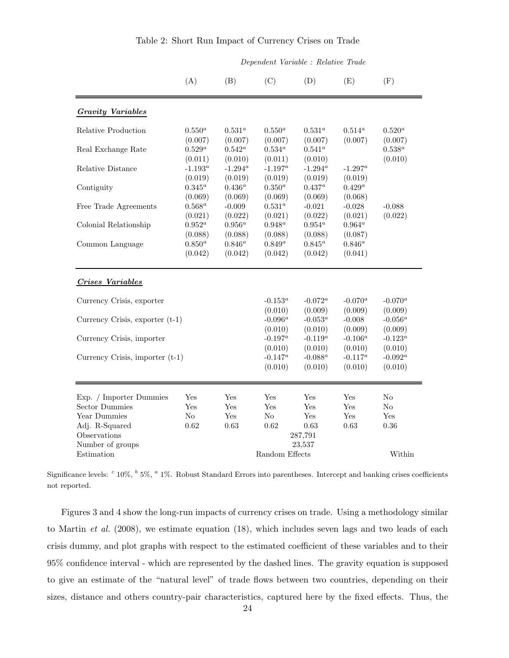|                                   |                       |                        | Dependent Variable : Relative Trade |                              |                       |                         |
|-----------------------------------|-----------------------|------------------------|-------------------------------------|------------------------------|-----------------------|-------------------------|
|                                   | (A)                   | (B)                    | (C)                                 | (D)                          | (E)                   | (F)                     |
| <b>Gravity Variables</b>          |                       |                        |                                     |                              |                       |                         |
| Relative Production               | $0.550^a$<br>(0.007)  | $0.531^{a}$<br>(0.007) | $0.550^{a}$<br>(0.007)              | $0.531^{a}$<br>(0.007)       | $0.514^a$<br>(0.007)  | $0.520^{a}$<br>(0.007)  |
| Real Exchange Rate                | $0.529^a$<br>(0.011)  | $0.542^a$<br>(0.010)   | $0.534^a$<br>(0.011)                | $0.541^a$<br>(0.010)         |                       | $0.538^a$<br>(0.010)    |
| Relative Distance                 | $-1.193^a$<br>(0.019) | $-1.294^a$<br>(0.019)  | $-1.197^a$<br>(0.019)               | $-1.294^a$<br>(0.019)        | $-1.297^a$<br>(0.019) |                         |
| Contiguity                        | $0.345^a$<br>(0.069)  | $0.436^a$<br>(0.069)   | $0.350^a$<br>(0.069)                | $0.437^a$<br>(0.069)         | $0.429^a$<br>(0.068)  |                         |
| Free Trade Agreements             | $0.568^a$<br>(0.021)  | $-0.009$<br>(0.022)    | $0.531^a$<br>(0.021)                | $-0.021$<br>(0.022)          | $-0.028$<br>(0.021)   | $-0.088$<br>(0.022)     |
| Colonial Relationship             | $0.952^a$<br>(0.088)  | $0.956^{a}$<br>(0.088) | $0.948^a$<br>(0.088)                | $0.954^a$<br>(0.088)         | $0.964^a$<br>(0.087)  |                         |
| Common Language                   | $0.850^a$<br>(0.042)  | $0.846^a$<br>(0.042)   | $0.849^a$<br>(0.042)                | $0.845^a$<br>(0.042)         | $0.846^a$<br>(0.041)  |                         |
| <b>Crises Variables</b>           |                       |                        |                                     |                              |                       |                         |
| Currency Crisis, exporter         |                       |                        | $-0.153^a$<br>(0.010)               | $-0.072^{\alpha}$<br>(0.009) | $-0.070^a$<br>(0.009) | $-0.070^{a}$<br>(0.009) |
| Currency Crisis, exporter (t-1)   |                       |                        | $-0.096^a$<br>(0.010)               | -0.053 $^a$<br>(0.010)       | $-0.008$<br>(0.009)   | $-0.056^a$<br>(0.009)   |
| Currency Crisis, importer         |                       |                        | $-0.197^a$<br>(0.010)               | $-0.119^a$<br>(0.010)        | $-0.106^a$<br>(0.010) | $-0.123^{a}$<br>(0.010) |
| Currency Crisis, importer $(t-1)$ |                       |                        | $-0.147^a$<br>(0.010)               | $-0.088^a$<br>(0.010)        | $-0.117^a$<br>(0.010) | $-0.092^a$<br>(0.010)   |
| Exp. / Importer Dummies           | Yes                   | Yes                    | Yes                                 | Yes                          | Yes                   | $\rm No$                |
| <b>Sector Dummies</b>             | Yes                   | Yes                    | Yes                                 | Yes                          | Yes                   | No                      |
| Year Dummies                      | No                    | Yes                    | N <sub>o</sub>                      | Yes                          | Yes                   | Yes                     |
| Adj. R-Squared<br>Observations    | 0.62                  | 0.63                   | 0.62                                | 0.63<br>287,791              | 0.63                  | 0.36                    |
| Number of groups                  |                       |                        |                                     | 23,537                       |                       |                         |
| Estimation                        |                       |                        | Random Effects                      |                              |                       | Within                  |

# Table 2: Short Run Impact of Currency Crises on Trade

Significance levels: <sup>c</sup> 10%, <sup>b</sup> 5%, <sup>a</sup> 1%. Robust Standard Errors into parentheses. Intercept and banking crises coefficients not reported.

Figures 3 and 4 show the long-run impacts of currency crises on trade. Using a methodology similar to Martin et al. (2008), we estimate equation (18), which includes seven lags and two leads of each crisis dummy, and plot graphs with respect to the estimated coefficient of these variables and to their 95% confidence interval - which are represented by the dashed lines. The gravity equation is supposed to give an estimate of the "natural level" of trade flows between two countries, depending on their sizes, distance and others country-pair characteristics, captured here by the fixed effects. Thus, the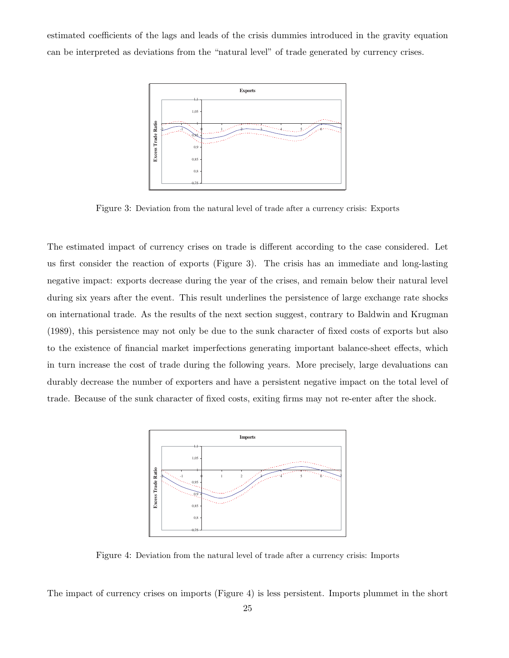estimated coefficients of the lags and leads of the crisis dummies introduced in the gravity equation can be interpreted as deviations from the "natural level" of trade generated by currency crises.



Figure 3: Deviation from the natural level of trade after a currency crisis: Exports

The estimated impact of currency crises on trade is different according to the case considered. Let us first consider the reaction of exports (Figure 3). The crisis has an immediate and long-lasting negative impact: exports decrease during the year of the crises, and remain below their natural level during six years after the event. This result underlines the persistence of large exchange rate shocks on international trade. As the results of the next section suggest, contrary to Baldwin and Krugman (1989), this persistence may not only be due to the sunk character of fixed costs of exports but also to the existence of financial market imperfections generating important balance-sheet effects, which in turn increase the cost of trade during the following years. More precisely, large devaluations can durably decrease the number of exporters and have a persistent negative impact on the total level of trade. Because of the sunk character of fixed costs, exiting firms may not re-enter after the shock.



Figure 4: Deviation from the natural level of trade after a currency crisis: Imports

The impact of currency crises on imports (Figure 4) is less persistent. Imports plummet in the short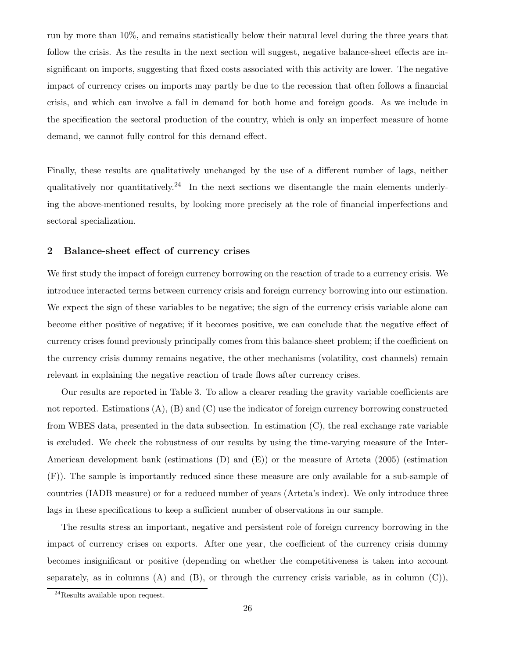run by more than 10%, and remains statistically below their natural level during the three years that follow the crisis. As the results in the next section will suggest, negative balance-sheet effects are insignificant on imports, suggesting that fixed costs associated with this activity are lower. The negative impact of currency crises on imports may partly be due to the recession that often follows a financial crisis, and which can involve a fall in demand for both home and foreign goods. As we include in the specification the sectoral production of the country, which is only an imperfect measure of home demand, we cannot fully control for this demand effect.

Finally, these results are qualitatively unchanged by the use of a different number of lags, neither qualitatively nor quantitatively.<sup>24</sup> In the next sections we disentangle the main elements underlying the above-mentioned results, by looking more precisely at the role of financial imperfections and sectoral specialization.

## 2 Balance-sheet effect of currency crises

We first study the impact of foreign currency borrowing on the reaction of trade to a currency crisis. We introduce interacted terms between currency crisis and foreign currency borrowing into our estimation. We expect the sign of these variables to be negative; the sign of the currency crisis variable alone can become either positive of negative; if it becomes positive, we can conclude that the negative effect of currency crises found previously principally comes from this balance-sheet problem; if the coefficient on the currency crisis dummy remains negative, the other mechanisms (volatility, cost channels) remain relevant in explaining the negative reaction of trade flows after currency crises.

Our results are reported in Table 3. To allow a clearer reading the gravity variable coefficients are not reported. Estimations  $(A)$ ,  $(B)$  and  $(C)$  use the indicator of foreign currency borrowing constructed from WBES data, presented in the data subsection. In estimation (C), the real exchange rate variable is excluded. We check the robustness of our results by using the time-varying measure of the Inter-American development bank (estimations (D) and (E)) or the measure of Arteta (2005) (estimation (F)). The sample is importantly reduced since these measure are only available for a sub-sample of countries (IADB measure) or for a reduced number of years (Arteta's index). We only introduce three lags in these specifications to keep a sufficient number of observations in our sample.

The results stress an important, negative and persistent role of foreign currency borrowing in the impact of currency crises on exports. After one year, the coefficient of the currency crisis dummy becomes insignificant or positive (depending on whether the competitiveness is taken into account separately, as in columns  $(A)$  and  $(B)$ , or through the currency crisis variable, as in column  $(C)$ ),

<sup>24</sup>Results available upon request.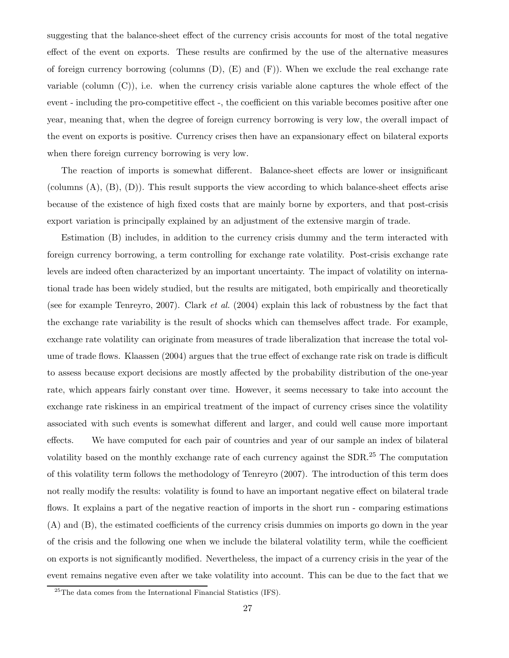suggesting that the balance-sheet effect of the currency crisis accounts for most of the total negative effect of the event on exports. These results are confirmed by the use of the alternative measures of foreign currency borrowing (columns  $(D)$ ,  $(E)$  and  $(F)$ ). When we exclude the real exchange rate variable (column  $(C)$ ), i.e. when the currency crisis variable alone captures the whole effect of the event - including the pro-competitive effect -, the coefficient on this variable becomes positive after one year, meaning that, when the degree of foreign currency borrowing is very low, the overall impact of the event on exports is positive. Currency crises then have an expansionary effect on bilateral exports when there foreign currency borrowing is very low.

The reaction of imports is somewhat different. Balance-sheet effects are lower or insignificant (columns (A), (B), (D)). This result supports the view according to which balance-sheet effects arise because of the existence of high fixed costs that are mainly borne by exporters, and that post-crisis export variation is principally explained by an adjustment of the extensive margin of trade.

Estimation (B) includes, in addition to the currency crisis dummy and the term interacted with foreign currency borrowing, a term controlling for exchange rate volatility. Post-crisis exchange rate levels are indeed often characterized by an important uncertainty. The impact of volatility on international trade has been widely studied, but the results are mitigated, both empirically and theoretically (see for example Tenreyro, 2007). Clark et al. (2004) explain this lack of robustness by the fact that the exchange rate variability is the result of shocks which can themselves affect trade. For example, exchange rate volatility can originate from measures of trade liberalization that increase the total volume of trade flows. Klaassen (2004) argues that the true effect of exchange rate risk on trade is difficult to assess because export decisions are mostly affected by the probability distribution of the one-year rate, which appears fairly constant over time. However, it seems necessary to take into account the exchange rate riskiness in an empirical treatment of the impact of currency crises since the volatility associated with such events is somewhat different and larger, and could well cause more important effects. We have computed for each pair of countries and year of our sample an index of bilateral volatility based on the monthly exchange rate of each currency against the SDR.<sup>25</sup> The computation of this volatility term follows the methodology of Tenreyro (2007). The introduction of this term does not really modify the results: volatility is found to have an important negative effect on bilateral trade flows. It explains a part of the negative reaction of imports in the short run - comparing estimations (A) and (B), the estimated coefficients of the currency crisis dummies on imports go down in the year of the crisis and the following one when we include the bilateral volatility term, while the coefficient on exports is not significantly modified. Nevertheless, the impact of a currency crisis in the year of the event remains negative even after we take volatility into account. This can be due to the fact that we

<sup>25</sup>The data comes from the International Financial Statistics (IFS).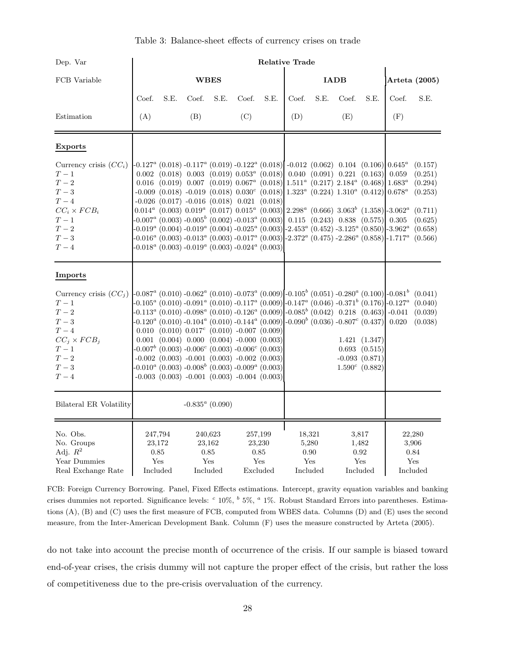| Table 3: Balance-sheet effects of currency crises on trade |  |  |  |
|------------------------------------------------------------|--|--|--|
|                                                            |  |  |  |

| Dep. Var                                                                                                                                            | <b>Relative Trade</b> |                                              |       |                                                                                                                                                                                                                                                                                                                                                                                                                                                                                                                                                                                  |       |                                              |       |                                                                                                                                                                                             |             |                                                                           |                                                                                                                                                                                                                                                                                                                                                              |                                                                |
|-----------------------------------------------------------------------------------------------------------------------------------------------------|-----------------------|----------------------------------------------|-------|----------------------------------------------------------------------------------------------------------------------------------------------------------------------------------------------------------------------------------------------------------------------------------------------------------------------------------------------------------------------------------------------------------------------------------------------------------------------------------------------------------------------------------------------------------------------------------|-------|----------------------------------------------|-------|---------------------------------------------------------------------------------------------------------------------------------------------------------------------------------------------|-------------|---------------------------------------------------------------------------|--------------------------------------------------------------------------------------------------------------------------------------------------------------------------------------------------------------------------------------------------------------------------------------------------------------------------------------------------------------|----------------------------------------------------------------|
| FCB Variable                                                                                                                                        |                       |                                              |       | <b>WBES</b>                                                                                                                                                                                                                                                                                                                                                                                                                                                                                                                                                                      |       |                                              |       |                                                                                                                                                                                             | <b>IADB</b> |                                                                           |                                                                                                                                                                                                                                                                                                                                                              | Arteta (2005)                                                  |
|                                                                                                                                                     | Coef.                 | S.E.                                         | Coef. | S.E.                                                                                                                                                                                                                                                                                                                                                                                                                                                                                                                                                                             | Coef. | S.E.                                         | Coef. | S.E.                                                                                                                                                                                        | Coef.       | S.E.                                                                      | Coef.                                                                                                                                                                                                                                                                                                                                                        | S.E.                                                           |
| Estimation                                                                                                                                          | (A)                   |                                              | (B)   |                                                                                                                                                                                                                                                                                                                                                                                                                                                                                                                                                                                  | (C)   |                                              | (D)   |                                                                                                                                                                                             | (E)         |                                                                           | (F)                                                                                                                                                                                                                                                                                                                                                          |                                                                |
| <b>Exports</b>                                                                                                                                      |                       |                                              |       |                                                                                                                                                                                                                                                                                                                                                                                                                                                                                                                                                                                  |       |                                              |       |                                                                                                                                                                                             |             |                                                                           |                                                                                                                                                                                                                                                                                                                                                              |                                                                |
| Currency crisis $(CCi)$<br>${\cal T}-1$<br>$T-\sqrt{2}$<br>$T-3$<br>$T\,-\,4$<br>$CC_i \times FCB_i$<br>${\cal T}-1$<br>$T-2$<br>$T\,-\,3$<br>$T-4$ |                       |                                              |       | $-0.127^a$ (0.018) $-0.117^a$ (0.019) $-0.122^a$ (0.018) $\vert$ $-0.012$ (0.062) 0.104 (0.106) $\vert$ 0.645 <sup>a</sup><br>$0.002$ $(0.018)$ $0.003$ $(0.019)$ $0.053a$ $(0.018)$<br>$0.016$ $(0.019)$ $0.007$ $(0.019)$ $0.067^a$ $(0.018)$<br>$-0.009$ $(0.018)$ $-0.019$ $(0.018)$ $0.030$ <sup>c</sup> $(0.018)$<br>$-0.026$ $(0.017)$ $-0.016$ $(0.018)$ $0.021$ $(0.018)$<br>$-0.007^a$ (0.003) $-0.005^b$ (0.002) $-0.013^a$ (0.003)<br>$-0.018^a$ (0.003) $-0.019^a$ (0.003) $-0.024^a$ (0.003)                                                                       |       |                                              |       | $0.040$ $(0.091)$ $0.221$ $(0.163)$<br>$1.511^a$ (0.217) $2.184^a$ (0.468) $1.683^a$<br>$1.323^a$ (0.224) $1.310^a$ (0.412) 0.678 <sup>a</sup><br>$0.115$ $(0.243)$ $0.838$ $(0.575)$ 0.305 |             |                                                                           | 0.059<br>$0.014^a$ (0.003) $0.019^a$ (0.017) $0.015^a$ (0.003) $2.298^a$ (0.666) $3.063^b$ (1.358) $\left[3.062^a$ (0.711)<br>$-0.019^a$ (0.004) $-0.019^a$ (0.004) $-0.025^a$ (0.003) $-2.453^a$ (0.452) $-3.125^a$ (0.850) $-3.962^a$<br>$-0.016^a$ (0.003) $-0.013^a$ (0.003) $-0.017^a$ (0.003) $-2.372^a$ (0.475) $-2.286^a$ (0.858) $-1.717^a$ (0.566) | (0.157)<br>(0.251)<br>(0.294)<br>(0.253)<br>(0.625)<br>(0.658) |
| Imports                                                                                                                                             |                       |                                              |       |                                                                                                                                                                                                                                                                                                                                                                                                                                                                                                                                                                                  |       |                                              |       |                                                                                                                                                                                             |             |                                                                           |                                                                                                                                                                                                                                                                                                                                                              |                                                                |
| Currency crisis $(CCi)$<br>${\cal T}-1$<br>$T-2$<br>$T\,-\,3$<br>$T\,-\,4$<br>$CC_j \times FCB_j$<br>${\cal T}-1$<br>$T-2$<br>$T\,-\,3$<br>$T-4$    |                       |                                              |       | $-0.113^a$ (0.010) $-0.098^a$ (0.010) $-0.126^a$ (0.009) $-0.085^b$ (0.042) 0.218 (0.463) $-0.041$<br>$-0.120^a$ (0.010) $-0.104^a$ (0.010) $-0.144^a$ (0.009) $-0.090^b$ (0.036) $-0.807^c$ (0.437) 0.020<br>$0.010$ $(0.010)$ $0.017$ <sup>c</sup> $(0.010)$ -0.007 $(0.009)$<br>$0.001$ $(0.004)$ $0.000$ $(0.004)$ $-0.000$ $(0.003)$<br>$-0.007b$ (0.003) $-0.006c$ (0.003) $-0.006c$ (0.003)<br>$-0.002$ (0.003) $-0.001$ (0.003) $-0.002$ (0.003)<br>$-0.010^a$ (0.003) $-0.008^b$ (0.003) $-0.009^a$ (0.003)<br>$-0.003$ $(0.003)$ $-0.001$ $(0.003)$ $-0.004$ $(0.003)$ |       |                                              |       |                                                                                                                                                                                             |             | 1.421(1.347)<br>$0.693$ $(0.515)$<br>$-0.093(0.871)$<br>$1.590^c$ (0.882) | $-0.087^a$ (0.010) $-0.062^a$ (0.010) $-0.073^a$ (0.009) $-0.105^b$ (0.051) $-0.280^a$ (0.100) $-0.081^b$ (0.041)<br>$-0.105^a$ (0.010) $-0.091^a$ (0.010) $-0.117^a$ (0.009) $-0.147^a$ (0.046) $-0.371^b$ (0.176) $-0.127^a$ (0.040)                                                                                                                       | (0.039)<br>(0.038)                                             |
| Bilateral ER Volatility                                                                                                                             |                       |                                              |       | $-0.835^a$ (0.090)                                                                                                                                                                                                                                                                                                                                                                                                                                                                                                                                                               |       |                                              |       |                                                                                                                                                                                             |             |                                                                           |                                                                                                                                                                                                                                                                                                                                                              |                                                                |
| No. Obs.<br>No. Groups<br>Adj. $R^2$<br>Year Dummies<br>Real Exchange Rate                                                                          |                       | 247,794<br>23,172<br>0.85<br>Yes<br>Included |       | 240,623<br>23,162<br>0.85<br>Yes<br>Included                                                                                                                                                                                                                                                                                                                                                                                                                                                                                                                                     |       | 257,199<br>23,230<br>0.85<br>Yes<br>Excluded |       | 18,321<br>5,280<br>0.90<br>Yes<br>Included                                                                                                                                                  |             | 3,817<br>1,482<br>0.92<br>Yes<br>Included                                 |                                                                                                                                                                                                                                                                                                                                                              | 22,280<br>3,906<br>0.84<br>Yes<br>Included                     |

FCB: Foreign Currency Borrowing. Panel, Fixed Effects estimations. Intercept, gravity equation variables and banking crises dummies not reported. Significance levels: <sup>c</sup> 10%, <sup>b</sup> 5%, <sup>a</sup> 1%. Robust Standard Errors into parentheses. Estimations (A), (B) and (C) uses the first measure of FCB, computed from WBES data. Columns (D) and (E) uses the second measure, from the Inter-American Development Bank. Column (F) uses the measure constructed by Arteta (2005).

do not take into account the precise month of occurrence of the crisis. If our sample is biased toward end-of-year crises, the crisis dummy will not capture the proper effect of the crisis, but rather the loss of competitiveness due to the pre-crisis overvaluation of the currency.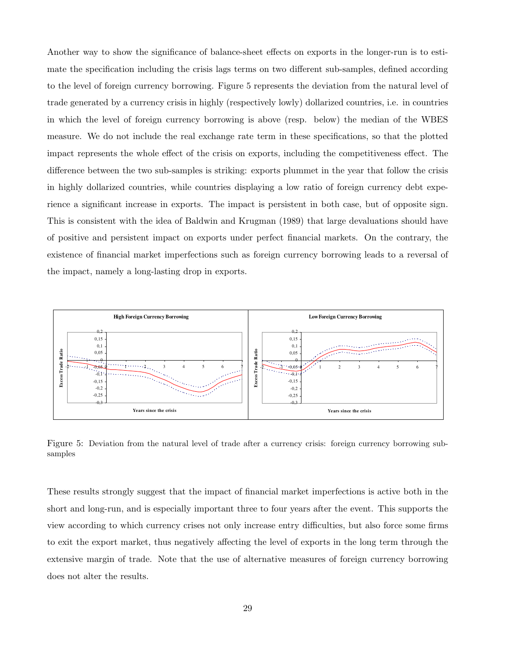Another way to show the significance of balance-sheet effects on exports in the longer-run is to estimate the specification including the crisis lags terms on two different sub-samples, defined according to the level of foreign currency borrowing. Figure 5 represents the deviation from the natural level of trade generated by a currency crisis in highly (respectively lowly) dollarized countries, i.e. in countries in which the level of foreign currency borrowing is above (resp. below) the median of the WBES measure. We do not include the real exchange rate term in these specifications, so that the plotted impact represents the whole effect of the crisis on exports, including the competitiveness effect. The difference between the two sub-samples is striking: exports plummet in the year that follow the crisis in highly dollarized countries, while countries displaying a low ratio of foreign currency debt experience a significant increase in exports. The impact is persistent in both case, but of opposite sign. This is consistent with the idea of Baldwin and Krugman (1989) that large devaluations should have of positive and persistent impact on exports under perfect financial markets. On the contrary, the existence of financial market imperfections such as foreign currency borrowing leads to a reversal of the impact, namely a long-lasting drop in exports.



Figure 5: Deviation from the natural level of trade after a currency crisis: foreign currency borrowing subsamples

These results strongly suggest that the impact of financial market imperfections is active both in the short and long-run, and is especially important three to four years after the event. This supports the view according to which currency crises not only increase entry difficulties, but also force some firms to exit the export market, thus negatively affecting the level of exports in the long term through the extensive margin of trade. Note that the use of alternative measures of foreign currency borrowing does not alter the results.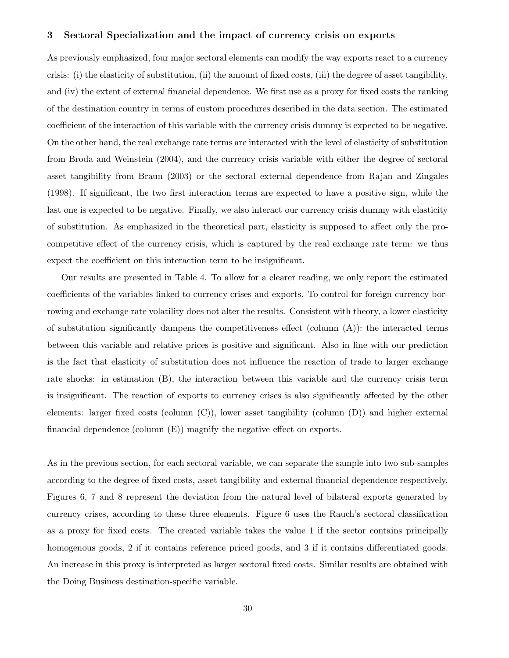#### 3 Sectoral Specialization and the impact of currency crisis on exports

As previously emphasized, four major sectoral elements can modify the way exports react to a currency crisis: (i) the elasticity of substitution, (ii) the amount of fixed costs, (iii) the degree of asset tangibility, and (iv) the extent of external financial dependence. We first use as a proxy for fixed costs the ranking of the destination country in terms of custom procedures described in the data section. The estimated coefficient of the interaction of this variable with the currency crisis dummy is expected to be negative. On the other hand, the real exchange rate terms are interacted with the level of elasticity of substitution from Broda and Weinstein (2004), and the currency crisis variable with either the degree of sectoral asset tangibility from Braun (2003) or the sectoral external dependence from Rajan and Zingales (1998). If significant, the two first interaction terms are expected to have a positive sign, while the last one is expected to be negative. Finally, we also interact our currency crisis dummy with elasticity of substitution. As emphasized in the theoretical part, elasticity is supposed to affect only the procompetitive effect of the currency crisis, which is captured by the real exchange rate term: we thus expect the coefficient on this interaction term to be insignificant.

Our results are presented in Table 4. To allow for a clearer reading, we only report the estimated coefficients of the variables linked to currency crises and exports. To control for foreign currency borrowing and exchange rate volatility does not alter the results. Consistent with theory, a lower elasticity of substitution significantly dampens the competitiveness effect (column  $(A)$ ): the interacted terms between this variable and relative prices is positive and significant. Also in line with our prediction is the fact that elasticity of substitution does not influence the reaction of trade to larger exchange rate shocks: in estimation (B), the interaction between this variable and the currency crisis term is insignificant. The reaction of exports to currency crises is also significantly affected by the other elements: larger fixed costs (column (C)), lower asset tangibility (column (D)) and higher external financial dependence (column (E)) magnify the negative effect on exports.

As in the previous section, for each sectoral variable, we can separate the sample into two sub-samples according to the degree of fixed costs, asset tangibility and external financial dependence respectively. Figures 6, 7 and 8 represent the deviation from the natural level of bilateral exports generated by currency crises, according to these three elements. Figure 6 uses the Rauch's sectoral classification as a proxy for fixed costs. The created variable takes the value 1 if the sector contains principally homogenous goods, 2 if it contains reference priced goods, and 3 if it contains differentiated goods. An increase in this proxy is interpreted as larger sectoral fixed costs. Similar results are obtained with the Doing Business destination-specific variable.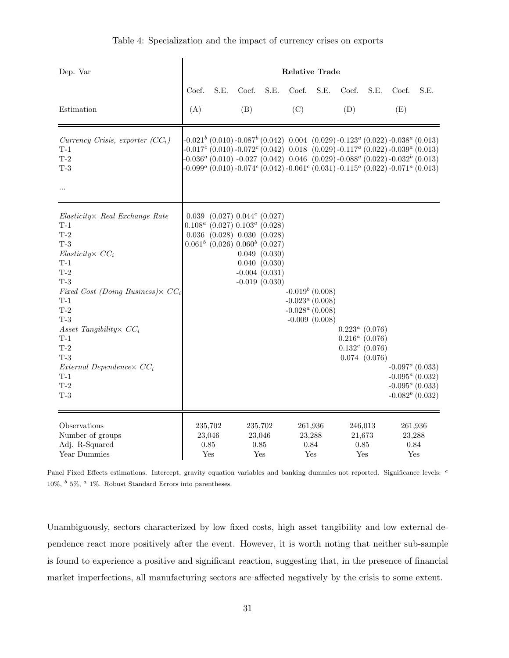| Dep. Var                                                                                                                                                                                                                                                                                                            | <b>Relative Trade</b>            |                                                                                                                                                          |       |                                                                     |       |                                                                                                                                                                                                                                                                                                                                                                                  |       |                                                                                  |                |                                                                                     |
|---------------------------------------------------------------------------------------------------------------------------------------------------------------------------------------------------------------------------------------------------------------------------------------------------------------------|----------------------------------|----------------------------------------------------------------------------------------------------------------------------------------------------------|-------|---------------------------------------------------------------------|-------|----------------------------------------------------------------------------------------------------------------------------------------------------------------------------------------------------------------------------------------------------------------------------------------------------------------------------------------------------------------------------------|-------|----------------------------------------------------------------------------------|----------------|-------------------------------------------------------------------------------------|
|                                                                                                                                                                                                                                                                                                                     | Coef.                            | S.E.                                                                                                                                                     | Coef. | S.E.                                                                | Coef. | S.E.                                                                                                                                                                                                                                                                                                                                                                             | Coef. | S.E.                                                                             | Coef.          | S.E.                                                                                |
| Estimation                                                                                                                                                                                                                                                                                                          | (A)                              |                                                                                                                                                          | (B)   |                                                                     | (C)   |                                                                                                                                                                                                                                                                                                                                                                                  | (D)   |                                                                                  | (E)            |                                                                                     |
| Currency Crisis, exporter $(CCi)$<br>$T-1$<br>$T-2$<br>$T-3$<br>$\cdots$                                                                                                                                                                                                                                            |                                  |                                                                                                                                                          |       |                                                                     |       | $-0.021^{b}$ (0.010) $-0.087^{b}$ (0.042) 0.004 (0.029) $-0.123^{a}$ (0.022) $-0.038^{a}$ (0.013)<br>$-0.017c$ (0.010) $-0.072c$ (0.042) 0.018 (0.029) $-0.117a$ (0.022) $-0.039a$ (0.013)<br>$0.036^a$ (0.010) $-0.027$ (0.042) $0.046$ (0.029) $-0.088^a$ (0.022) $-0.032^b$ (0.013)<br>$-0.099^a (0.010) -0.074^c (0.042) -0.061^c (0.031) -0.115^a (0.022) -0.071^a (0.013)$ |       |                                                                                  |                |                                                                                     |
| Elasticity× Real Exchange Rate<br>$T-1$<br>$T-2$<br>$T-3$<br>$Elasticity \times CC_i$<br>$T-1$<br>$T-2$<br>$T-3$<br>Fixed Cost (Doing Business) $\times$ CC <sub>i</sub><br>$T-1$<br>$T-2$<br>$T-3$<br>Asset Tangibility $CC_i$<br>$T-1$<br>$T-2$<br>$T-3$<br>External Dependence $CC_i$<br>$T-1$<br>$T-2$<br>$T-3$ |                                  | $0.039$ $(0.027)$ $0.044^c$ $(0.027)$<br>$0.108^a$ (0.027) $0.103^a$ (0.028)<br>$0.036$ $(0.028)$ $0.030$ $(0.028)$<br>$0.061b$ (0.026) $0.060b$ (0.027) |       | 0.049(0.030)<br>0.040 (0.030)<br>$-0.004(0.031)$<br>$-0.019(0.030)$ |       | $-0.019^{b}$ (0.008)<br>$-0.023^a$ (0.008)<br>$-0.028^a(0.008)$<br>$-0.009$ $(0.008)$                                                                                                                                                                                                                                                                                            |       | $0.223^a$ (0.076)<br>$0.216^a$ (0.076)<br>$0.132^c$ (0.076)<br>$0.074$ $(0.076)$ |                | $-0.097^a$ (0.033)<br>$-0.095^a$ (0.032)<br>$-0.095^a$ (0.033)<br>$-0.082b$ (0.032) |
| Observations<br>Number of groups<br>Adj. R-Squared<br>Year Dummies                                                                                                                                                                                                                                                  | 235,702<br>23,046<br>0.85<br>Yes |                                                                                                                                                          |       | 235,702<br>23,046<br>0.85<br>Yes                                    |       | 261,936<br>23,288<br>0.84<br>Yes                                                                                                                                                                                                                                                                                                                                                 |       | 246,013<br>21,673<br>0.85<br>Yes                                                 | 23,288<br>0.84 | 261,936<br>Yes                                                                      |

Panel Fixed Effects estimations. Intercept, gravity equation variables and banking dummies not reported. Significance levels: <sup>c</sup> 10%,  $^b$  5%,  $^a$  1%. Robust Standard Errors into parentheses.

Unambiguously, sectors characterized by low fixed costs, high asset tangibility and low external dependence react more positively after the event. However, it is worth noting that neither sub-sample is found to experience a positive and significant reaction, suggesting that, in the presence of financial market imperfections, all manufacturing sectors are affected negatively by the crisis to some extent.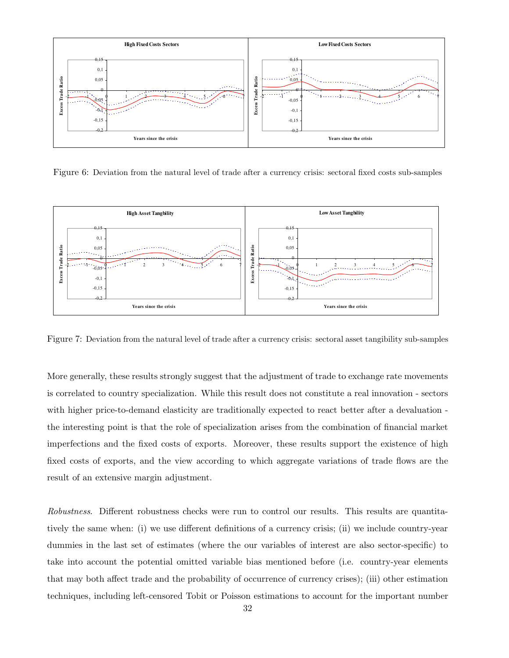

Figure 6: Deviation from the natural level of trade after a currency crisis: sectoral fixed costs sub-samples



Figure 7: Deviation from the natural level of trade after a currency crisis: sectoral asset tangibility sub-samples

More generally, these results strongly suggest that the adjustment of trade to exchange rate movements is correlated to country specialization. While this result does not constitute a real innovation - sectors with higher price-to-demand elasticity are traditionally expected to react better after a devaluation the interesting point is that the role of specialization arises from the combination of financial market imperfections and the fixed costs of exports. Moreover, these results support the existence of high fixed costs of exports, and the view according to which aggregate variations of trade flows are the result of an extensive margin adjustment.

Robustness. Different robustness checks were run to control our results. This results are quantitatively the same when: (i) we use different definitions of a currency crisis; (ii) we include country-year dummies in the last set of estimates (where the our variables of interest are also sector-specific) to take into account the potential omitted variable bias mentioned before (i.e. country-year elements that may both affect trade and the probability of occurrence of currency crises); (iii) other estimation techniques, including left-censored Tobit or Poisson estimations to account for the important number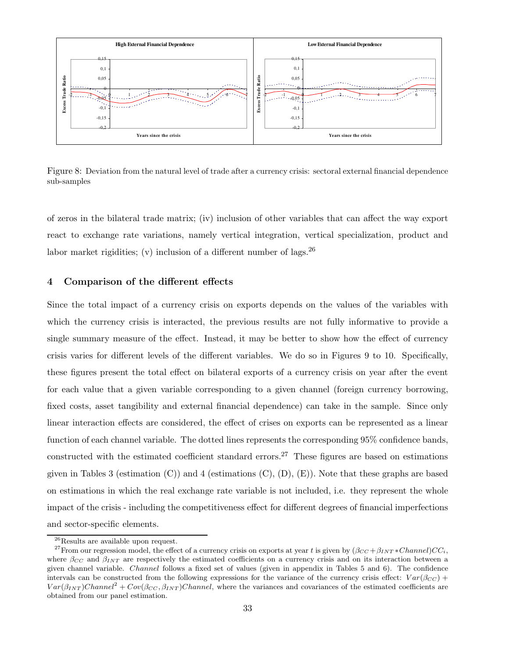

Figure 8: Deviation from the natural level of trade after a currency crisis: sectoral external financial dependence sub-samples

of zeros in the bilateral trade matrix; (iv) inclusion of other variables that can affect the way export react to exchange rate variations, namely vertical integration, vertical specialization, product and labor market rigidities; (v) inclusion of a different number of lags.  $^{26}$ 

#### 4 Comparison of the different effects

Since the total impact of a currency crisis on exports depends on the values of the variables with which the currency crisis is interacted, the previous results are not fully informative to provide a single summary measure of the effect. Instead, it may be better to show how the effect of currency crisis varies for different levels of the different variables. We do so in Figures 9 to 10. Specifically, these figures present the total effect on bilateral exports of a currency crisis on year after the event for each value that a given variable corresponding to a given channel (foreign currency borrowing, fixed costs, asset tangibility and external financial dependence) can take in the sample. Since only linear interaction effects are considered, the effect of crises on exports can be represented as a linear function of each channel variable. The dotted lines represents the corresponding 95% confidence bands, constructed with the estimated coefficient standard errors.<sup>27</sup> These figures are based on estimations given in Tables 3 (estimation  $(C)$ ) and 4 (estimations  $(C)$ ,  $(D)$ ,  $(E)$ ). Note that these graphs are based on estimations in which the real exchange rate variable is not included, i.e. they represent the whole impact of the crisis - including the competitiveness effect for different degrees of financial imperfections and sector-specific elements.

<sup>26</sup>Results are available upon request.

<sup>&</sup>lt;sup>27</sup>From our regression model, the effect of a currency crisis on exports at year t is given by  $(\beta_{CC} + \beta_{INT} * Channel)CC_i$ , where  $\beta_{CC}$  and  $\beta_{INT}$  are respectively the estimated coefficients on a currency crisis and on its interaction between a given channel variable. Channel follows a fixed set of values (given in appendix in Tables 5 and 6). The confidence intervals can be constructed from the following expressions for the variance of the currency crisis effect:  $Var(\beta_{CC})$  +  $Var(\beta_{INT})Channel^2 + Cov(\beta_{CC}, \beta_{INT})Channel$ , where the variances and covariances of the estimated coefficients are obtained from our panel estimation.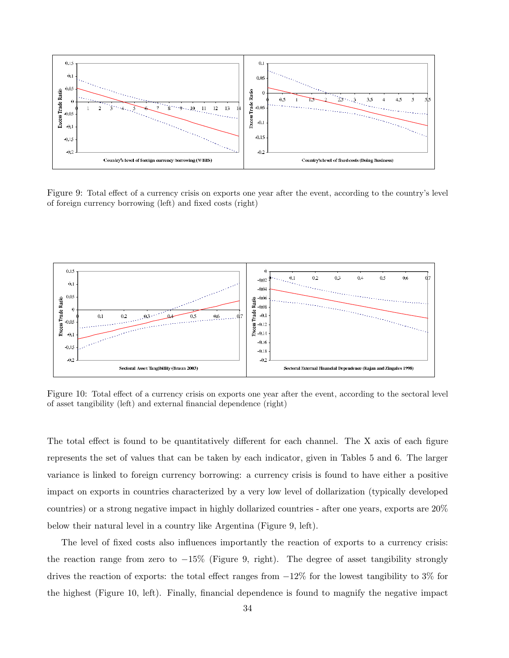

Figure 9: Total effect of a currency crisis on exports one year after the event, according to the country's level of foreign currency borrowing (left) and fixed costs (right)



Figure 10: Total effect of a currency crisis on exports one year after the event, according to the sectoral level of asset tangibility (left) and external financial dependence (right)

The total effect is found to be quantitatively different for each channel. The X axis of each figure represents the set of values that can be taken by each indicator, given in Tables 5 and 6. The larger variance is linked to foreign currency borrowing: a currency crisis is found to have either a positive impact on exports in countries characterized by a very low level of dollarization (typically developed countries) or a strong negative impact in highly dollarized countries - after one years, exports are 20% below their natural level in a country like Argentina (Figure 9, left).

The level of fixed costs also influences importantly the reaction of exports to a currency crisis: the reaction range from zero to  $-15\%$  (Figure 9, right). The degree of asset tangibility strongly drives the reaction of exports: the total effect ranges from  $-12\%$  for the lowest tangibility to 3% for the highest (Figure 10, left). Finally, financial dependence is found to magnify the negative impact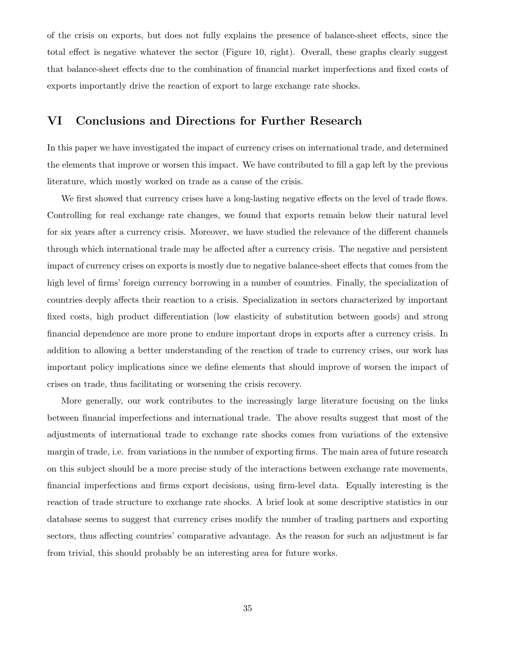of the crisis on exports, but does not fully explains the presence of balance-sheet effects, since the total effect is negative whatever the sector (Figure 10, right). Overall, these graphs clearly suggest that balance-sheet effects due to the combination of financial market imperfections and fixed costs of exports importantly drive the reaction of export to large exchange rate shocks.

# VI Conclusions and Directions for Further Research

In this paper we have investigated the impact of currency crises on international trade, and determined the elements that improve or worsen this impact. We have contributed to fill a gap left by the previous literature, which mostly worked on trade as a cause of the crisis.

We first showed that currency crises have a long-lasting negative effects on the level of trade flows. Controlling for real exchange rate changes, we found that exports remain below their natural level for six years after a currency crisis. Moreover, we have studied the relevance of the different channels through which international trade may be affected after a currency crisis. The negative and persistent impact of currency crises on exports is mostly due to negative balance-sheet effects that comes from the high level of firms' foreign currency borrowing in a number of countries. Finally, the specialization of countries deeply affects their reaction to a crisis. Specialization in sectors characterized by important fixed costs, high product differentiation (low elasticity of substitution between goods) and strong financial dependence are more prone to endure important drops in exports after a currency crisis. In addition to allowing a better understanding of the reaction of trade to currency crises, our work has important policy implications since we define elements that should improve of worsen the impact of crises on trade, thus facilitating or worsening the crisis recovery.

More generally, our work contributes to the increasingly large literature focusing on the links between financial imperfections and international trade. The above results suggest that most of the adjustments of international trade to exchange rate shocks comes from variations of the extensive margin of trade, i.e. from variations in the number of exporting firms. The main area of future research on this subject should be a more precise study of the interactions between exchange rate movements, financial imperfections and firms export decisions, using firm-level data. Equally interesting is the reaction of trade structure to exchange rate shocks. A brief look at some descriptive statistics in our database seems to suggest that currency crises modify the number of trading partners and exporting sectors, thus affecting countries' comparative advantage. As the reason for such an adjustment is far from trivial, this should probably be an interesting area for future works.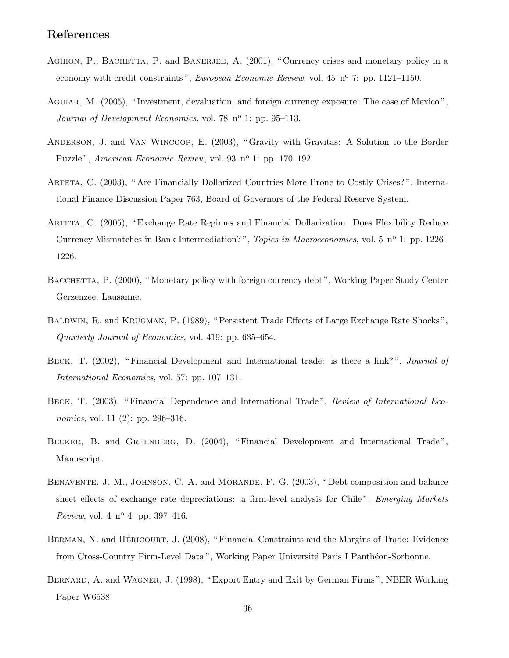# References

- AGHION, P., BACHETTA, P. and BANERJEE, A. (2001), "Currency crises and monetary policy in a economy with credit constraints", European Economic Review, vol. 45  $n^{\circ}$  7: pp. 1121–1150.
- Aguiar, M. (2005), " Investment, devaluation, and foreign currency exposure: The case of Mexico ", Journal of Development Economics, vol. 78  $n^{\circ}$  1: pp. 95–113.
- Anderson, J. and Van Wincoop, E. (2003), " Gravity with Gravitas: A Solution to the Border Puzzle", American Economic Review, vol. 93 nº 1: pp. 170–192.
- ARTETA, C. (2003), "Are Financially Dollarized Countries More Prone to Costly Crises?", International Finance Discussion Paper 763, Board of Governors of the Federal Reserve System.
- Arteta, C. (2005), " Exchange Rate Regimes and Financial Dollarization: Does Flexibility Reduce Currency Mismatches in Bank Intermediation?", Topics in Macroeconomics, vol. 5 n<sup>o</sup> 1: pp. 1226– 1226.
- BACCHETTA, P. (2000), "Monetary policy with foreign currency debt", Working Paper Study Center Gerzenzee, Lausanne.
- Baldwin, R. and Krugman, P. (1989), " Persistent Trade Effects of Large Exchange Rate Shocks ", Quarterly Journal of Economics, vol. 419: pp. 635–654.
- BECK, T. (2002), "Financial Development and International trade: is there a link?", Journal of International Economics, vol. 57: pp. 107–131.
- BECK, T. (2003), "Financial Dependence and International Trade", Review of International Economics, vol. 11 (2): pp. 296–316.
- BECKER, B. and GREENBERG, D. (2004), "Financial Development and International Trade", Manuscript.
- BENAVENTE, J. M., JOHNSON, C. A. and MORANDE, F. G. (2003), "Debt composition and balance sheet effects of exchange rate depreciations: a firm-level analysis for Chile", Emerging Markets Review, vol. 4  $n^{o}$  4: pp. 397-416.
- BERMAN, N. and HÉRICOURT, J. (2008), " Financial Constraints and the Margins of Trade: Evidence from Cross-Country Firm-Level Data", Working Paper Université Paris I Panthéon-Sorbonne.
- BERNARD, A. and WAGNER, J. (1998), "Export Entry and Exit by German Firms", NBER Working Paper W6538.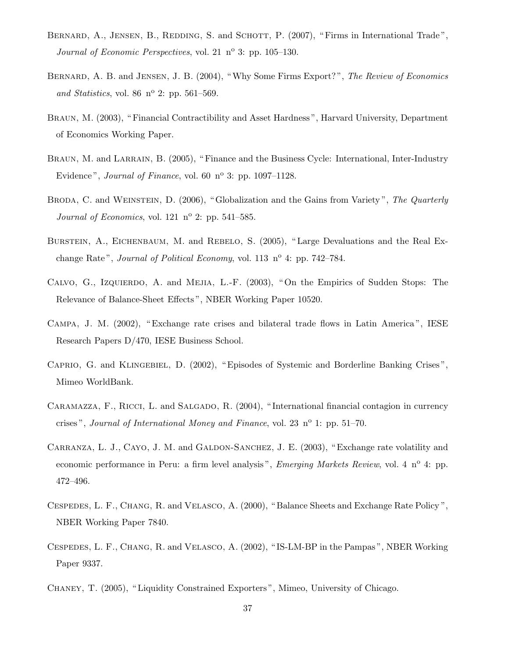- BERNARD, A., JENSEN, B., REDDING, S. and SCHOTT, P. (2007), "Firms in International Trade", Journal of Economic Perspectives, vol. 21  $n^{\circ}$  3: pp. 105–130.
- BERNARD, A. B. and JENSEN, J. B. (2004), "Why Some Firms Export?", The Review of Economics and Statistics, vol. 86  $n^{\circ}$  2: pp. 561–569.
- Braun, M. (2003), " Financial Contractibility and Asset Hardness ", Harvard University, Department of Economics Working Paper.
- BRAUN, M. and LARRAIN, B. (2005), "Finance and the Business Cycle: International, Inter-Industry Evidence", *Journal of Finance*, vol. 60  $n^{\circ}$  3: pp. 1097–1128.
- BRODA, C. and WEINSTEIN, D. (2006), "Globalization and the Gains from Variety", The Quarterly Journal of Economics, vol. 121  $n^{\circ}$  2: pp. 541–585.
- BURSTEIN, A., EICHENBAUM, M. and REBELO, S. (2005), "Large Devaluations and the Real Exchange Rate", Journal of Political Economy, vol. 113  $n^{\circ}$  4: pp. 742–784.
- Calvo, G., Izquierdo, A. and Mejia, L.-F. (2003), " On the Empirics of Sudden Stops: The Relevance of Balance-Sheet Effects ", NBER Working Paper 10520.
- Campa, J. M. (2002), " Exchange rate crises and bilateral trade flows in Latin America ", IESE Research Papers D/470, IESE Business School.
- Caprio, G. and Klingebiel, D. (2002), " Episodes of Systemic and Borderline Banking Crises ", Mimeo WorldBank.
- CARAMAZZA, F., RICCI, L. and SALGADO, R. (2004), "International financial contagion in currency crises", Journal of International Money and Finance, vol. 23  $n^{\circ}$  1: pp. 51–70.
- CARRANZA, L. J., CAYO, J. M. and GALDON-SANCHEZ, J. E. (2003), "Exchange rate volatility and economic performance in Peru: a firm level analysis", Emerging Markets Review, vol. 4  $n^{\circ}$  4: pp. 472–496.
- Cespedes, L. F., Chang, R. and Velasco, A. (2000), " Balance Sheets and Exchange Rate Policy ", NBER Working Paper 7840.
- Cespedes, L. F., Chang, R. and Velasco, A. (2002), " IS-LM-BP in the Pampas ", NBER Working Paper 9337.
- Chaney, T. (2005), " Liquidity Constrained Exporters ", Mimeo, University of Chicago.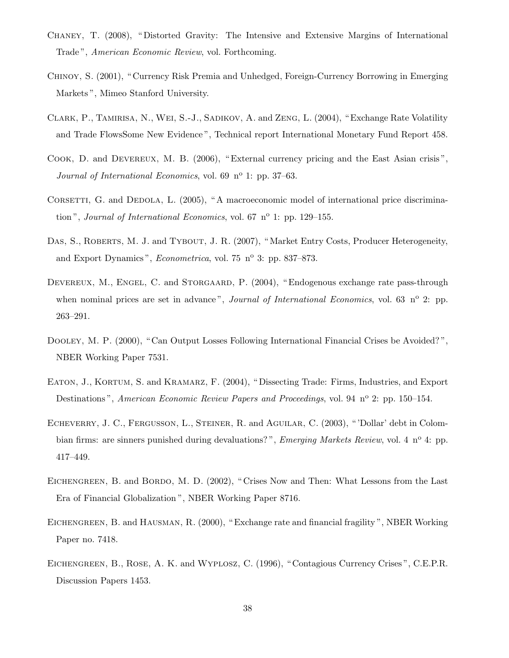- Chaney, T. (2008), " Distorted Gravity: The Intensive and Extensive Margins of International Trade", *American Economic Review*, vol. Forthcoming.
- Chinoy, S. (2001), " Currency Risk Premia and Unhedged, Foreign-Currency Borrowing in Emerging Markets ", Mimeo Stanford University.
- Clark, P., Tamirisa, N., Wei, S.-J., Sadikov, A. and Zeng, L. (2004), " Exchange Rate Volatility and Trade FlowsSome New Evidence ", Technical report International Monetary Fund Report 458.
- Cook, D. and Devereux, M. B. (2006), " External currency pricing and the East Asian crisis ", Journal of International Economics, vol. 69  $n^{\circ}$  1: pp. 37–63.
- CORSETTI, G. and DEDOLA, L. (2005), "A macroeconomic model of international price discrimination", Journal of International Economics, vol. 67  $n^{\circ}$  1: pp. 129–155.
- DAS, S., ROBERTS, M. J. and TYBOUT, J. R. (2007), "Market Entry Costs, Producer Heterogeneity, and Export Dynamics", *Econometrica*, vol. 75 n<sup>o</sup> 3: pp. 837–873.
- DEVEREUX, M., ENGEL, C. and STORGAARD, P. (2004), "Endogenous exchange rate pass-through when nominal prices are set in advance", *Journal of International Economics*, vol. 63  $n^{\circ}$  2: pp. 263–291.
- Dooley, M. P. (2000), " Can Output Losses Following International Financial Crises be Avoided? ", NBER Working Paper 7531.
- EATON, J., KORTUM, S. and KRAMARZ, F. (2004), "Dissecting Trade: Firms, Industries, and Export Destinations", American Economic Review Papers and Proceedings, vol. 94 n° 2: pp. 150–154.
- ECHEVERRY, J. C., FERGUSSON, L., STEINER, R. and AGUILAR, C. (2003), "'Dollar' debt in Colombian firms: are sinners punished during devaluations?", *Emerging Markets Review*, vol. 4 n<sup>o</sup> 4: pp. 417–449.
- EICHENGREEN, B. and BORDO, M. D. (2002), "Crises Now and Then: What Lessons from the Last Era of Financial Globalization ", NBER Working Paper 8716.
- Eichengreen, B. and Hausman, R. (2000), " Exchange rate and financial fragility ", NBER Working Paper no. 7418.
- Eichengreen, B., Rose, A. K. and Wyplosz, C. (1996), " Contagious Currency Crises ", C.E.P.R. Discussion Papers 1453.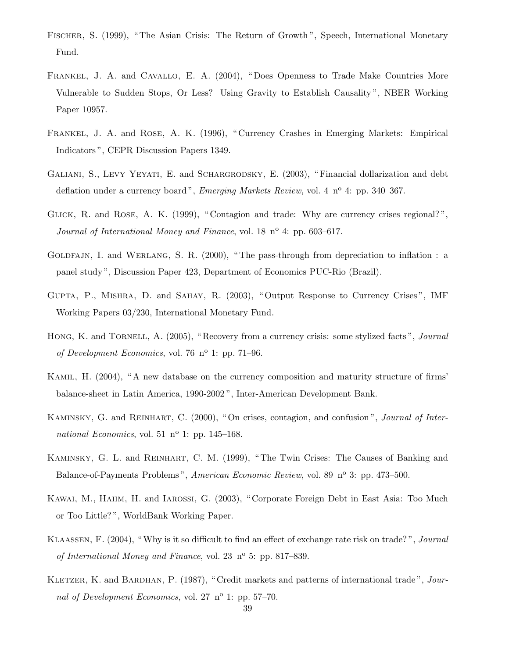- Fischer, S. (1999), " The Asian Crisis: The Return of Growth ", Speech, International Monetary Fund.
- Frankel, J. A. and Cavallo, E. A. (2004), " Does Openness to Trade Make Countries More Vulnerable to Sudden Stops, Or Less? Using Gravity to Establish Causality ", NBER Working Paper 10957.
- Frankel, J. A. and Rose, A. K. (1996), " Currency Crashes in Emerging Markets: Empirical Indicators ", CEPR Discussion Papers 1349.
- GALIANI, S., LEVY YEYATI, E. and SCHARGRODSKY, E. (2003), "Financial dollarization and debt deflation under a currency board", *Emerging Markets Review*, vol. 4  $n^{\circ}$  4: pp. 340–367.
- GLICK, R. and ROSE, A. K. (1999), "Contagion and trade: Why are currency crises regional?", Journal of International Money and Finance, vol. 18  $n^{\circ}$  4: pp. 603–617.
- GOLDFAJN, I. and WERLANG, S. R. (2000), "The pass-through from depreciation to inflation: a panel study ", Discussion Paper 423, Department of Economics PUC-Rio (Brazil).
- Gupta, P., Mishra, D. and Sahay, R. (2003), " Output Response to Currency Crises ", IMF Working Papers 03/230, International Monetary Fund.
- HONG, K. and TORNELL, A. (2005), "Recovery from a currency crisis: some stylized facts", *Journal* of Development Economics, vol. 76  $n^{\circ}$  1: pp. 71–96.
- Kamil, H. (2004), " A new database on the currency composition and maturity structure of firms' balance-sheet in Latin America, 1990-2002 ", Inter-American Development Bank.
- KAMINSKY, G. and REINHART, C. (2000), "On crises, contagion, and confusion", *Journal of Inter*national Economics, vol. 51  $n^{\circ}$  1: pp. 145–168.
- Kaminsky, G. L. and Reinhart, C. M. (1999), " The Twin Crises: The Causes of Banking and Balance-of-Payments Problems", American Economic Review, vol. 89 nº 3: pp. 473–500.
- Kawai, M., Hahm, H. and Iarossi, G. (2003), " Corporate Foreign Debt in East Asia: Too Much or Too Little? ", WorldBank Working Paper.
- Klaassen, F. (2004), "Why is it so difficult to find an effect of exchange rate risk on trade? ", Journal of International Money and Finance, vol. 23  $n^{\circ}$  5: pp. 817–839.
- KLETZER, K. and BARDHAN, P. (1987), "Credit markets and patterns of international trade", Journal of Development Economics, vol. 27  $n^{\circ}$  1: pp. 57–70.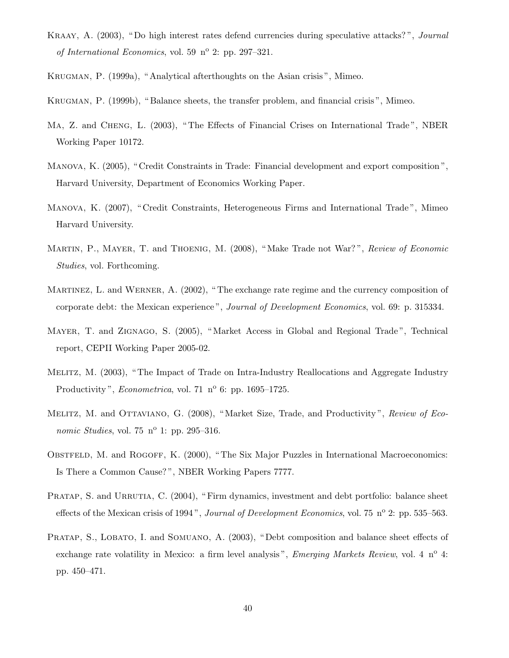- KRAAY, A. (2003), "Do high interest rates defend currencies during speculative attacks?", *Journal* of International Economics, vol. 59  $n^{\circ}$  2: pp. 297–321.
- Krugman, P. (1999a), " Analytical afterthoughts on the Asian crisis ", Mimeo.
- Krugman, P. (1999b), " Balance sheets, the transfer problem, and financial crisis ", Mimeo.
- Ma, Z. and Cheng, L. (2003), " The Effects of Financial Crises on International Trade ", NBER Working Paper 10172.
- Manova, K. (2005), " Credit Constraints in Trade: Financial development and export composition ", Harvard University, Department of Economics Working Paper.
- Manova, K. (2007), " Credit Constraints, Heterogeneous Firms and International Trade ", Mimeo Harvard University.
- MARTIN, P., MAYER, T. and THOENIG, M. (2008), "Make Trade not War?", Review of Economic Studies, vol. Forthcoming.
- Martinez, L. and Werner, A. (2002), " The exchange rate regime and the currency composition of corporate debt: the Mexican experience", *Journal of Development Economics*, vol. 69: p. 315334.
- Mayer, T. and Zignago, S. (2005), " Market Access in Global and Regional Trade ", Technical report, CEPII Working Paper 2005-02.
- Melitz, M. (2003), " The Impact of Trade on Intra-Industry Reallocations and Aggregate Industry Productivity", *Econometrica*, vol. 71  $n^{\circ}$  6: pp. 1695–1725.
- MELITZ, M. and OTTAVIANO, G. (2008), "Market Size, Trade, and Productivity", Review of Economic Studies, vol. 75  $n^{\circ}$  1: pp. 295–316.
- OBSTFELD, M. and ROGOFF, K. (2000), "The Six Major Puzzles in International Macroeconomics: Is There a Common Cause? ", NBER Working Papers 7777.
- PRATAP, S. and URRUTIA, C. (2004), "Firm dynamics, investment and debt portfolio: balance sheet effects of the Mexican crisis of 1994", Journal of Development Economics, vol. 75  $n^{\circ}$  2: pp. 535–563.
- PRATAP, S., LOBATO, I. and SOMUANO, A. (2003), "Debt composition and balance sheet effects of exchange rate volatility in Mexico: a firm level analysis", *Emerging Markets Review*, vol. 4 n<sup>o</sup> 4: pp. 450–471.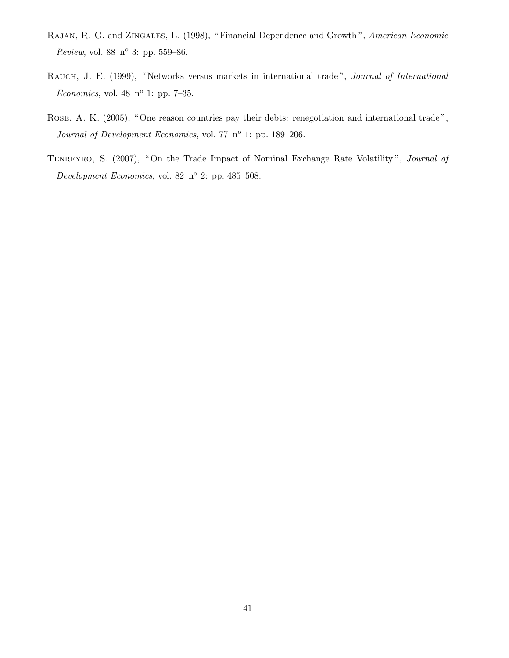- RAJAN, R. G. and ZINGALES, L. (1998), "Financial Dependence and Growth", American Economic Review, vol. 88  $n^{o}$  3: pp. 559–86.
- RAUCH, J. E. (1999), "Networks versus markets in international trade", Journal of International Economics, vol. 48  $n^{\circ}$  1: pp. 7-35.
- Rose, A. K. (2005), " One reason countries pay their debts: renegotiation and international trade ", Journal of Development Economics, vol. 77 nº 1: pp. 189-206.
- TENREYRO, S. (2007), "On the Trade Impact of Nominal Exchange Rate Volatility", Journal of Development Economics, vol. 82 nº 2: pp. 485-508.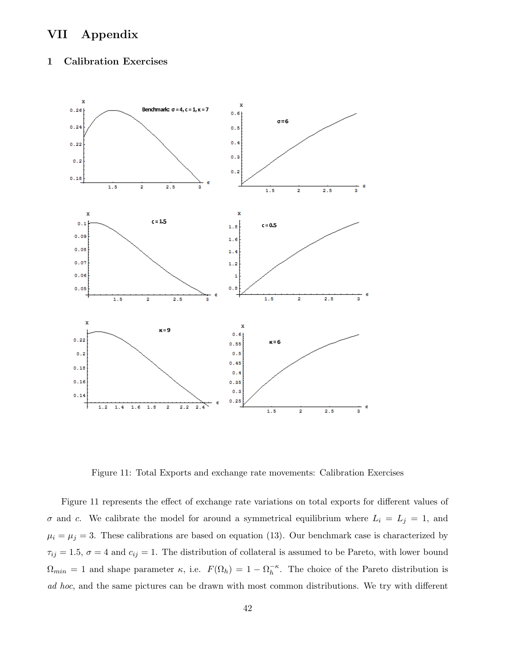# VII Appendix

## 1 Calibration Exercises



Figure 11: Total Exports and exchange rate movements: Calibration Exercises

Figure 11 represents the effect of exchange rate variations on total exports for different values of  $\sigma$  and c. We calibrate the model for around a symmetrical equilibrium where  $L_i = L_j = 1$ , and  $\mu_i = \mu_j = 3$ . These calibrations are based on equation (13). Our benchmark case is characterized by  $\tau_{ij} = 1.5, \sigma = 4$  and  $c_{ij} = 1$ . The distribution of collateral is assumed to be Pareto, with lower bound  $\Omega_{min} = 1$  and shape parameter  $\kappa$ , i.e.  $F(\Omega_h) = 1 - \Omega_h^{-\kappa}$  $h^{-\kappa}$ . The choice of the Pareto distribution is ad hoc, and the same pictures can be drawn with most common distributions. We try with different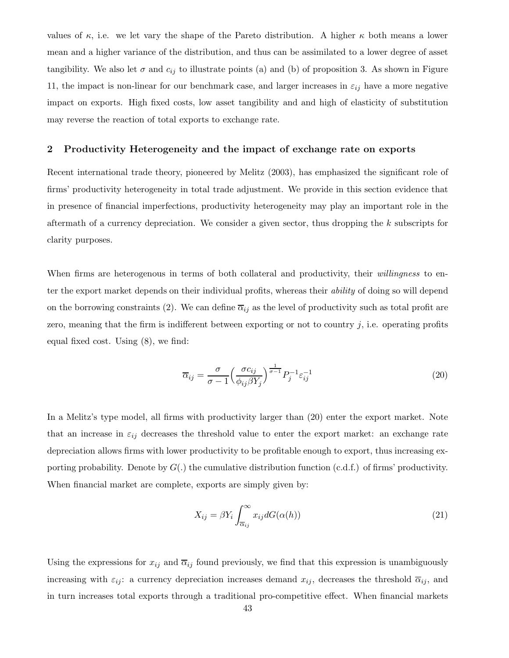values of  $\kappa$ , i.e. we let vary the shape of the Pareto distribution. A higher  $\kappa$  both means a lower mean and a higher variance of the distribution, and thus can be assimilated to a lower degree of asset tangibility. We also let  $\sigma$  and  $c_{ij}$  to illustrate points (a) and (b) of proposition 3. As shown in Figure 11, the impact is non-linear for our benchmark case, and larger increases in  $\varepsilon_{ij}$  have a more negative impact on exports. High fixed costs, low asset tangibility and and high of elasticity of substitution may reverse the reaction of total exports to exchange rate.

#### 2 Productivity Heterogeneity and the impact of exchange rate on exports

Recent international trade theory, pioneered by Melitz (2003), has emphasized the significant role of firms' productivity heterogeneity in total trade adjustment. We provide in this section evidence that in presence of financial imperfections, productivity heterogeneity may play an important role in the aftermath of a currency depreciation. We consider a given sector, thus dropping the k subscripts for clarity purposes.

When firms are heterogenous in terms of both collateral and productivity, their willingness to enter the export market depends on their individual profits, whereas their *ability* of doing so will depend on the borrowing constraints (2). We can define  $\overline{\alpha}_{ij}$  as the level of productivity such as total profit are zero, meaning that the firm is indifferent between exporting or not to country  $j$ , i.e. operating profits equal fixed cost. Using (8), we find:

$$
\overline{\alpha}_{ij} = \frac{\sigma}{\sigma - 1} \left( \frac{\sigma c_{ij}}{\phi_{ij} \beta Y_j} \right)^{\frac{1}{\sigma - 1}} P_j^{-1} \varepsilon_{ij}^{-1}
$$
\n(20)

In a Melitz's type model, all firms with productivity larger than (20) enter the export market. Note that an increase in  $\varepsilon_{ij}$  decreases the threshold value to enter the export market: an exchange rate depreciation allows firms with lower productivity to be profitable enough to export, thus increasing exporting probability. Denote by  $G(.)$  the cumulative distribution function (c.d.f.) of firms' productivity. When financial market are complete, exports are simply given by:

$$
X_{ij} = \beta Y_i \int_{\overline{\alpha}_{ij}}^{\infty} x_{ij} dG(\alpha(h))
$$
\n(21)

Using the expressions for  $x_{ij}$  and  $\overline{\alpha}_{ij}$  found previously, we find that this expression is unambiguously increasing with  $\varepsilon_{ij}$ : a currency depreciation increases demand  $x_{ij}$ , decreases the threshold  $\overline{\alpha}_{ij}$ , and in turn increases total exports through a traditional pro-competitive effect. When financial markets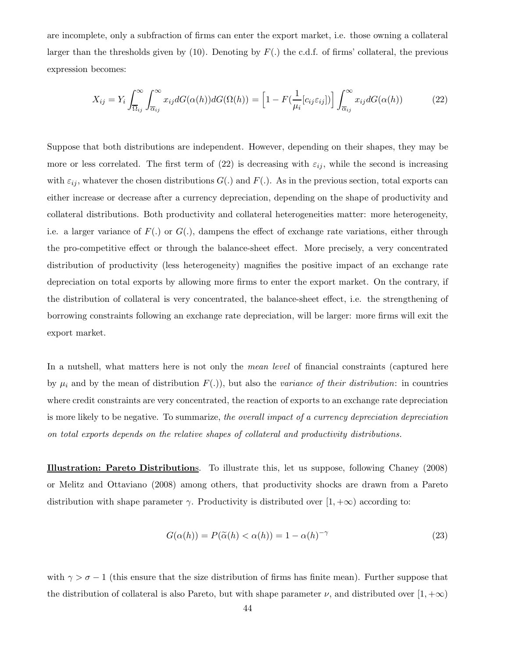are incomplete, only a subfraction of firms can enter the export market, i.e. those owning a collateral larger than the thresholds given by (10). Denoting by  $F(.)$  the c.d.f. of firms' collateral, the previous expression becomes:

$$
X_{ij} = Y_i \int_{\overline{\Omega}_{ij}}^{\infty} \int_{\overline{\alpha}_{ij}}^{\infty} x_{ij} dG(\alpha(h)) dG(\Omega(h)) = \left[1 - F(\frac{1}{\mu_i} [c_{ij} \varepsilon_{ij}])\right] \int_{\overline{\alpha}_{ij}}^{\infty} x_{ij} dG(\alpha(h)) \tag{22}
$$

Suppose that both distributions are independent. However, depending on their shapes, they may be more or less correlated. The first term of (22) is decreasing with  $\varepsilon_{ij}$ , while the second is increasing with  $\varepsilon_{ij}$ , whatever the chosen distributions  $G(.)$  and  $F(.)$ . As in the previous section, total exports can either increase or decrease after a currency depreciation, depending on the shape of productivity and collateral distributions. Both productivity and collateral heterogeneities matter: more heterogeneity, i.e. a larger variance of  $F(.)$  or  $G(.)$ , dampens the effect of exchange rate variations, either through the pro-competitive effect or through the balance-sheet effect. More precisely, a very concentrated distribution of productivity (less heterogeneity) magnifies the positive impact of an exchange rate depreciation on total exports by allowing more firms to enter the export market. On the contrary, if the distribution of collateral is very concentrated, the balance-sheet effect, i.e. the strengthening of borrowing constraints following an exchange rate depreciation, will be larger: more firms will exit the export market.

In a nutshell, what matters here is not only the *mean level* of financial constraints (captured here by  $\mu_i$  and by the mean of distribution  $F(.)$ , but also the variance of their distribution: in countries where credit constraints are very concentrated, the reaction of exports to an exchange rate depreciation is more likely to be negative. To summarize, the overall impact of a currency depreciation depreciation on total exports depends on the relative shapes of collateral and productivity distributions.

Illustration: Pareto Distributions. To illustrate this, let us suppose, following Chaney (2008) or Melitz and Ottaviano (2008) among others, that productivity shocks are drawn from a Pareto distribution with shape parameter  $\gamma$ . Productivity is distributed over  $[1, +\infty)$  according to:

$$
G(\alpha(h)) = P(\tilde{\alpha}(h) < \alpha(h)) = 1 - \alpha(h)^{-\gamma} \tag{23}
$$

with  $\gamma > \sigma - 1$  (this ensure that the size distribution of firms has finite mean). Further suppose that the distribution of collateral is also Pareto, but with shape parameter  $\nu$ , and distributed over  $[1, +\infty)$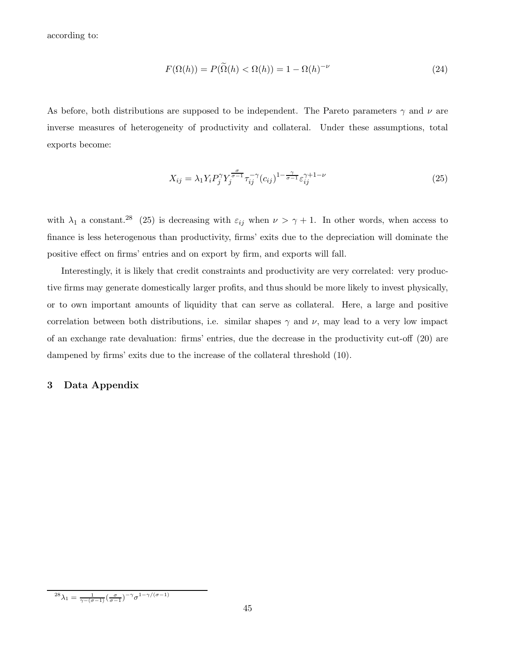according to:

$$
F(\Omega(h)) = P(\widetilde{\Omega}(h) < \Omega(h)) = 1 - \Omega(h)^{-\nu} \tag{24}
$$

As before, both distributions are supposed to be independent. The Pareto parameters  $\gamma$  and  $\nu$  are inverse measures of heterogeneity of productivity and collateral. Under these assumptions, total exports become:

$$
X_{ij} = \lambda_1 Y_i P_j^{\gamma} Y_j^{\frac{\sigma}{\sigma-1}} \tau_{ij}^{-\gamma} (c_{ij})^{1-\frac{\gamma}{\sigma-1}} \varepsilon_{ij}^{\gamma+1-\nu}
$$
\n(25)

with  $\lambda_1$  a constant.<sup>28</sup> (25) is decreasing with  $\varepsilon_{ij}$  when  $\nu > \gamma + 1$ . In other words, when access to finance is less heterogenous than productivity, firms' exits due to the depreciation will dominate the positive effect on firms' entries and on export by firm, and exports will fall.

Interestingly, it is likely that credit constraints and productivity are very correlated: very productive firms may generate domestically larger profits, and thus should be more likely to invest physically, or to own important amounts of liquidity that can serve as collateral. Here, a large and positive correlation between both distributions, i.e. similar shapes  $\gamma$  and  $\nu$ , may lead to a very low impact of an exchange rate devaluation: firms' entries, due the decrease in the productivity cut-off (20) are dampened by firms' exits due to the increase of the collateral threshold (10).

#### 3 Data Appendix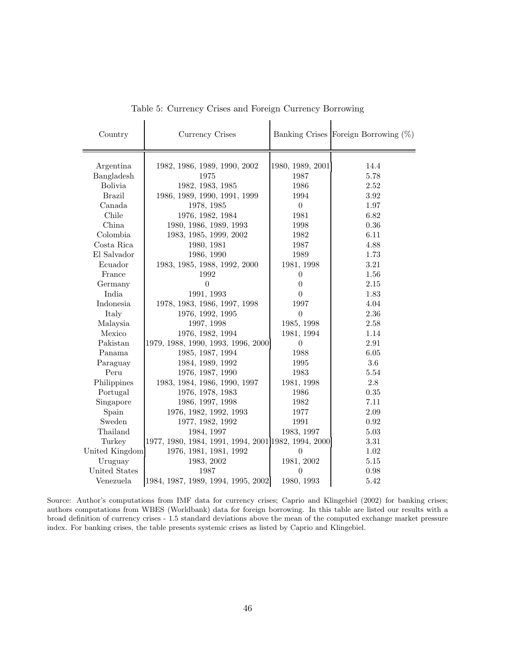| Country        | Currency Crises                                     |                          | Banking Crises Foreign Borrowing $(\%)$ |
|----------------|-----------------------------------------------------|--------------------------|-----------------------------------------|
|                |                                                     |                          | 14.4                                    |
| Argentina      | 1982, 1986, 1989, 1990, 2002                        | 1980, 1989, 2001<br>1987 | 5.78                                    |
| Bangladesh     | 1975                                                |                          |                                         |
| <b>Bolivia</b> | 1982, 1983, 1985                                    | 1986                     | 2.52                                    |
| <b>Brazil</b>  | 1986, 1989, 1990, 1991, 1999                        | 1994                     | 3.92                                    |
| Canada         | 1978, 1985                                          | $\overline{0}$           | 1.97                                    |
| Chile          | 1976, 1982, 1984                                    | 1981                     | 6.82                                    |
| China          | 1980, 1986, 1989, 1993                              | 1998                     | 0.36                                    |
| Colombia       | 1983, 1985, 1999, 2002                              | 1982                     | 6.11                                    |
| Costa Rica     | 1980, 1981                                          | 1987                     | 4.88                                    |
| El Salvador    | 1986, 1990                                          | 1989                     | 1.73                                    |
| Ecuador        | 1983, 1985, 1988, 1992, 2000                        | 1981, 1998               | 3.21                                    |
| France         | 1992                                                | $\theta$                 | 1.56                                    |
| Germany        | $\overline{0}$                                      | $\boldsymbol{0}$         | 2.15                                    |
| India          | 1991, 1993                                          | $\theta$                 | 1.83                                    |
| Indonesia      | 1978, 1983, 1986, 1997, 1998                        | 1997                     | 4.04                                    |
| Italy          | 1976, 1992, 1995                                    | $\theta$                 | 2.36                                    |
| Malaysia       | 1997, 1998                                          | 1985, 1998               | 2.58                                    |
| Mexico         | 1976, 1982, 1994                                    | 1981, 1994               | 1.14                                    |
| Pakistan       | 1979, 1988, 1990, 1993, 1996, 2000                  | $\overline{0}$           | 2.91                                    |
| Panama         | 1985, 1987, 1994                                    | 1988                     | 6.05                                    |
| Paraguay       | 1984, 1989, 1992                                    | 1995                     | $3.6\,$                                 |
| Peru           | 1976, 1987, 1990                                    | 1983                     | 5.54                                    |
| Philippines    | 1983, 1984, 1986, 1990, 1997                        | 1981, 1998               | $2.8\,$                                 |
| Portugal       | 1976, 1978, 1983                                    | 1986                     | 0.35                                    |
| Singapore      | 1986, 1997, 1998                                    | 1982                     | 7.11                                    |
| Spain          | 1976, 1982, 1992, 1993                              | 1977                     | 2.09                                    |
| Sweden         | 1977, 1982, 1992                                    | 1991                     | 0.92                                    |
| Thailand       | 1984, 1997                                          | 1983, 1997               | 5.03                                    |
| Turkey         | 1977, 1980, 1984, 1991, 1994, 2001 1982, 1994, 2000 |                          | 3.31                                    |
|                |                                                     | $\theta$                 | 1.02                                    |
| United Kingdom | 1976, 1981, 1981, 1992                              |                          |                                         |
| Uruguay        | 1983, 2002                                          | 1981, 2002               | 5.15                                    |
| United States  | 1987                                                | $\theta$                 | 0.98                                    |
| Venezuela      | 1984, 1987, 1989, 1994, 1995, 2002                  | 1980, 1993               | 5.42                                    |

Table 5: Currency Crises and Foreign Currency Borrowing

Source: Author's computations from IMF data for currency crises; Caprio and Klingebiel (2002) for banking crises; authors computations from WBES (Worldbank) data for foreign borrowing. In this table are listed our results with a broad definition of currency crises - 1.5 standard deviations above the mean of the computed exchange market pressure index. For banking crises, the table presents systemic crises as listed by Caprio and Klingebiel.